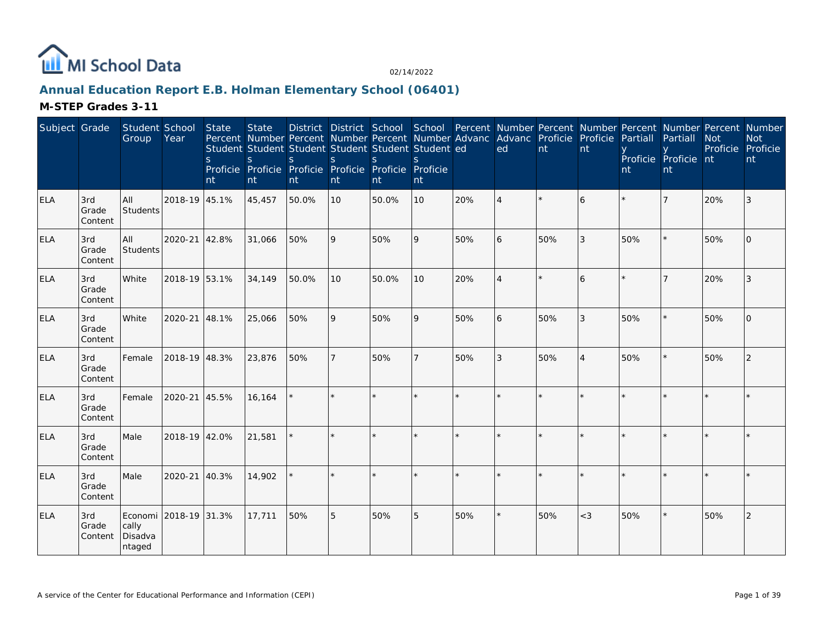

# **Annual Education Report E.B. Holman Elementary School (06401)**

| Subject Grade |                         | Student School<br>Group    | Year                  | State<br>S.<br>nt | <b>State</b><br>S<br>nt | Percent Number Percent Number Percent Number Advanc Advanc Proficie Proficie<br>Student Student Student Student Student Student ed<br><sub>S</sub><br>Proficie Proficie Proficie Proficie Proficie Proficie<br>nt | <sub>S</sub><br>nt | S.<br>nt | $\mathcal{S}_{\mathcal{S}}$<br>nt |               | District District School School Percent Number Percent Number Percent Number Percent Number<br>ed | nt  | nt             | Partiall<br>nt | Partiall<br>Proficie Proficie nt<br>nt | <b>Not</b><br>Proficie | <b>Not</b><br>Proficie<br>nt |
|---------------|-------------------------|----------------------------|-----------------------|-------------------|-------------------------|-------------------------------------------------------------------------------------------------------------------------------------------------------------------------------------------------------------------|--------------------|----------|-----------------------------------|---------------|---------------------------------------------------------------------------------------------------|-----|----------------|----------------|----------------------------------------|------------------------|------------------------------|
| <b>ELA</b>    | 3rd<br>Grade<br>Content | All<br>Students            | 2018-19 45.1%         |                   | 45,457                  | 50.0%                                                                                                                                                                                                             | 10                 | 50.0%    | 10                                | 20%           | $\overline{4}$                                                                                    |     | 6              |                |                                        | 20%                    | 3                            |
| ELA           | 3rd<br>Grade<br>Content | All<br><b>Students</b>     | 2020-21               | 42.8%             | 31,066                  | 50%                                                                                                                                                                                                               | 9                  | 50%      | 9                                 | 50%           | 6                                                                                                 | 50% | 3              | 50%            |                                        | 50%                    | $\Omega$                     |
| <b>ELA</b>    | 3rd<br>Grade<br>Content | White                      | 2018-19 53.1%         |                   | 34,149                  | 50.0%                                                                                                                                                                                                             | 10                 | 50.0%    | 10                                | 20%           | $\overline{A}$                                                                                    |     | 6              |                |                                        | 20%                    | 3                            |
| <b>ELA</b>    | 3rd<br>Grade<br>Content | White                      | 2020-21               | 48.1%             | 25,066                  | 50%                                                                                                                                                                                                               | 9                  | 50%      | 9                                 | 50%           | 6                                                                                                 | 50% | 3              | 50%            |                                        | 50%                    | $\Omega$                     |
| <b>ELA</b>    | 3rd<br>Grade<br>Content | Female                     | 2018-19 48.3%         |                   | 23,876                  | 50%                                                                                                                                                                                                               | $\overline{7}$     | 50%      | 7                                 | 50%           | 3                                                                                                 | 50% | $\overline{4}$ | 50%            |                                        | 50%                    | 2                            |
| <b>ELA</b>    | 3rd<br>Grade<br>Content | Female                     | 2020-21               | 45.5%             | 16,164                  |                                                                                                                                                                                                                   | $\star$            |          | $\star$                           | $\ddot{\psi}$ | $\star$                                                                                           |     |                |                |                                        |                        |                              |
| <b>ELA</b>    | 3rd<br>Grade<br>Content | Male                       | 2018-19 42.0%         |                   | 21,581                  |                                                                                                                                                                                                                   |                    |          | $\star$                           |               |                                                                                                   |     |                |                |                                        |                        |                              |
| <b>ELA</b>    | 3rd<br>Grade<br>Content | Male                       | 2020-21               | 40.3%             | 14,902                  |                                                                                                                                                                                                                   |                    |          |                                   |               |                                                                                                   |     |                |                |                                        |                        |                              |
| <b>ELA</b>    | 3rd<br>Grade<br>Content | cally<br>Disadva<br>ntaged | Economi 2018-19 31.3% |                   | 17,711                  | 50%                                                                                                                                                                                                               | 5                  | 50%      | 5                                 | 50%           | $^\star$                                                                                          | 50% | $<$ 3          | 50%            |                                        | 50%                    | 2                            |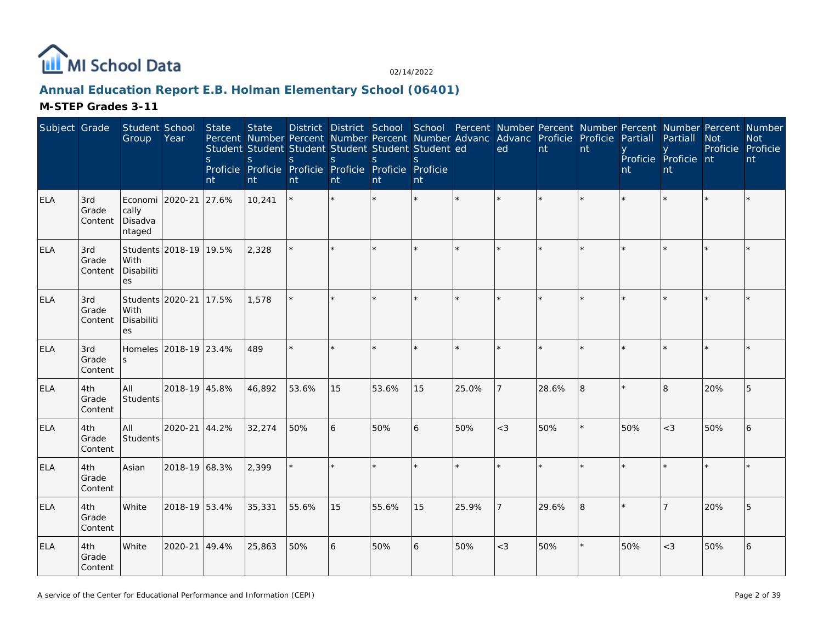

# **Annual Education Report E.B. Holman Elementary School (06401)**

| Subject Grade |                         | Student School<br>Group                       | Year                   | <b>State</b><br><sub>S</sub><br>nt | <b>State</b><br>Percent Number Percent Number Percent Number Advanc Advanc Proficie Proficie<br>Student Student Student Student Student Student ed<br>S<br>Proficie Proficie Proficie Proficie Proficie Proficie<br>nt | District District School School Percent Number Percent Number Percent Number Percent Number<br>S.<br>nt | $\mathsf{S}$<br>nt | <sub>S</sub><br>nt | <sub>S</sub><br>nt |         | ed             | $\mathsf{nt}$ | nt | Partiall<br>nt | Partiall<br>Proficie Proficie nt<br>nt | <b>Not</b><br>Proficie Proficie | <b>Not</b><br>nt |
|---------------|-------------------------|-----------------------------------------------|------------------------|------------------------------------|------------------------------------------------------------------------------------------------------------------------------------------------------------------------------------------------------------------------|---------------------------------------------------------------------------------------------------------|--------------------|--------------------|--------------------|---------|----------------|---------------|----|----------------|----------------------------------------|---------------------------------|------------------|
| <b>ELA</b>    | 3rd<br>Grade<br>Content | Economi 2020-21<br>cally<br>Disadva<br>ntaged |                        | 27.6%                              | 10,241                                                                                                                                                                                                                 |                                                                                                         |                    |                    |                    |         |                |               |    |                |                                        |                                 |                  |
| <b>ELA</b>    | 3rd<br>Grade<br>Content | With<br>Disabiliti<br><b>es</b>               | Students 2018-19 19.5% |                                    | 2,328                                                                                                                                                                                                                  |                                                                                                         |                    |                    | ×.                 |         |                |               |    |                |                                        |                                 |                  |
| <b>ELA</b>    | 3rd<br>Grade<br>Content | Students 2020-21<br>With<br>Disabiliti<br>es  |                        | 17.5%                              | 1,578                                                                                                                                                                                                                  |                                                                                                         |                    |                    |                    |         |                |               |    |                |                                        |                                 |                  |
| <b>ELA</b>    | 3rd<br>Grade<br>Content |                                               | Homeles 2018-19 23.4%  |                                    | 489                                                                                                                                                                                                                    | $\star$                                                                                                 |                    |                    | $\star$            | $\star$ | $\star$        |               |    |                |                                        |                                 |                  |
| <b>ELA</b>    | 4th<br>Grade<br>Content | All<br>Students                               | 2018-19 45.8%          |                                    | 46,892                                                                                                                                                                                                                 | 53.6%                                                                                                   | 15                 | 53.6%              | 15                 | 25.0%   | 7              | 28.6%         | 8  |                | 8                                      | 20%                             | 5                |
| <b>ELA</b>    | 4th<br>Grade<br>Content | All<br>Students                               | 2020-21 44.2%          |                                    | 32,274                                                                                                                                                                                                                 | 50%                                                                                                     | 6                  | 50%                | 6                  | 50%     | $<$ 3          | 50%           |    | 50%            | $<$ 3                                  | 50%                             | 6                |
| <b>ELA</b>    | 4th<br>Grade<br>Content | Asian                                         | 2018-19 68.3%          |                                    | 2,399                                                                                                                                                                                                                  |                                                                                                         |                    |                    |                    |         |                |               |    |                |                                        |                                 |                  |
| <b>ELA</b>    | 4th<br>Grade<br>Content | White                                         | 2018-19 53.4%          |                                    | 35,331                                                                                                                                                                                                                 | 55.6%                                                                                                   | 15                 | 55.6%              | 15                 | 25.9%   | $\overline{7}$ | 29.6%         | 8  |                |                                        | 20%                             | 5                |
| <b>ELA</b>    | 4th<br>Grade<br>Content | White                                         | 2020-21 49.4%          |                                    | 25,863                                                                                                                                                                                                                 | 50%                                                                                                     | 6                  | 50%                | 6                  | 50%     | $<$ 3          | 50%           |    | 50%            | $<$ 3                                  | 50%                             | 6                |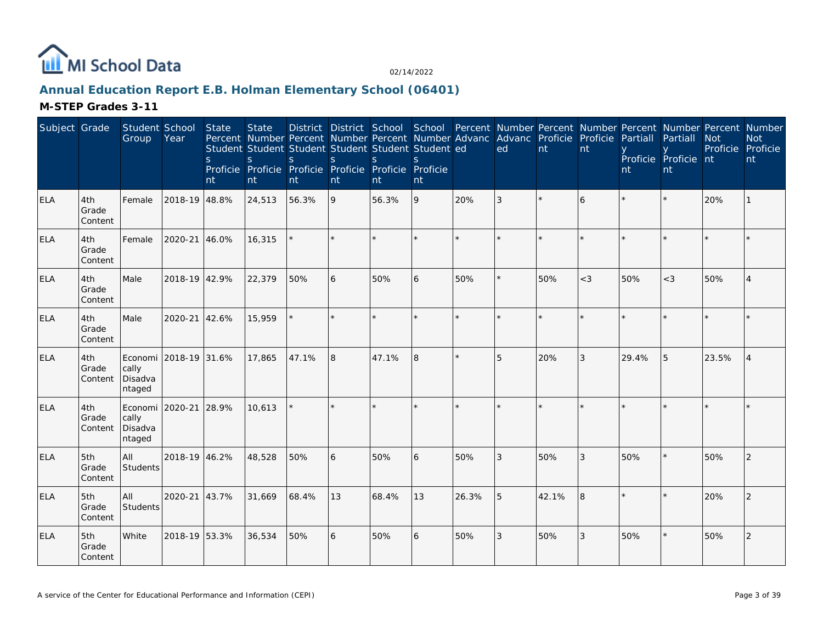

# **Annual Education Report E.B. Holman Elementary School (06401)**

| Subject Grade |                         | Student School<br>Group               | Year          | State<br>$\mathsf{S}$<br>nt | <b>State</b><br>S<br>nt | Percent Number Percent Number Percent Number Advanc<br>Student Student Student Student Student Student ed<br>S.<br>Proficie Proficie Proficie Proficie Proficie Proficie<br>nt | <sub>S</sub><br>nt | S.<br>nt | S.<br>nt |         | District District School School Percent Number Percent Number Percent Number Percent Number<br>Advanc Proficie<br>ed | nt    | Proficie<br>nt | Partiall<br>nt | Partiall<br>Proficie Proficie nt<br>nt | <b>Not</b><br>Proficie Proficie | <b>Not</b><br>nt |
|---------------|-------------------------|---------------------------------------|---------------|-----------------------------|-------------------------|--------------------------------------------------------------------------------------------------------------------------------------------------------------------------------|--------------------|----------|----------|---------|----------------------------------------------------------------------------------------------------------------------|-------|----------------|----------------|----------------------------------------|---------------------------------|------------------|
| <b>ELA</b>    | 4th<br>Grade<br>Content | Female                                | 2018-19 48.8% |                             | 24,513                  | 56.3%                                                                                                                                                                          | 9                  | 56.3%    | 9        | 20%     | 3                                                                                                                    |       | 6              |                |                                        | 20%                             |                  |
| <b>ELA</b>    | 4th<br>Grade<br>Content | Female                                | 2020-21       | 46.0%                       | 16,315                  |                                                                                                                                                                                |                    |          | $\star$  |         |                                                                                                                      |       |                |                |                                        |                                 |                  |
| <b>ELA</b>    | 4th<br>Grade<br>Content | Male                                  | 2018-19 42.9% |                             | 22,379                  | 50%                                                                                                                                                                            | 6                  | 50%      | 6        | 50%     | $\star$                                                                                                              | 50%   | $<$ 3          | 50%            | $<$ 3                                  | 50%                             | $\overline{4}$   |
| <b>ELA</b>    | 4th<br>Grade<br>Content | Male                                  | 2020-21       | 42.6%                       | 15,959                  |                                                                                                                                                                                | $\star$            | $\star$  | ÷.       | $\star$ | $\star$                                                                                                              |       | ÷              |                |                                        |                                 |                  |
| <b>ELA</b>    | 4th<br>Grade<br>Content | Economi<br>cally<br>Disadva<br>ntaged | 2018-19 31.6% |                             | 17,865                  | 47.1%                                                                                                                                                                          | 8                  | 47.1%    | 8        |         | 5                                                                                                                    | 20%   | 3              | 29.4%          | 5                                      | 23.5%                           | $\overline{4}$   |
| <b>ELA</b>    | 4th<br>Grade<br>Content | Economi<br>cally<br>Disadva<br>ntaged | 2020-21       | 28.9%                       | 10.613                  |                                                                                                                                                                                | $\star$            |          | $\star$  |         | $\star$                                                                                                              |       |                |                |                                        |                                 |                  |
| <b>ELA</b>    | 5th<br>Grade<br>Content | All<br>Students                       | 2018-19 46.2% |                             | 48,528                  | 50%                                                                                                                                                                            | 6                  | 50%      | 6        | 50%     | 3                                                                                                                    | 50%   | 3              | 50%            |                                        | 50%                             | 2                |
| <b>ELA</b>    | 5th<br>Grade<br>Content | All<br>Students                       | 2020-21       | 43.7%                       | 31,669                  | 68.4%                                                                                                                                                                          | 13                 | 68.4%    | 13       | 26.3%   | 5                                                                                                                    | 42.1% | 8              |                |                                        | 20%                             | 2                |
| <b>ELA</b>    | 5th<br>Grade<br>Content | White                                 | 2018-19 53.3% |                             | 36,534                  | 50%                                                                                                                                                                            | 6                  | 50%      | 6        | 50%     | 3                                                                                                                    | 50%   | 3              | 50%            |                                        | 50%                             | 2                |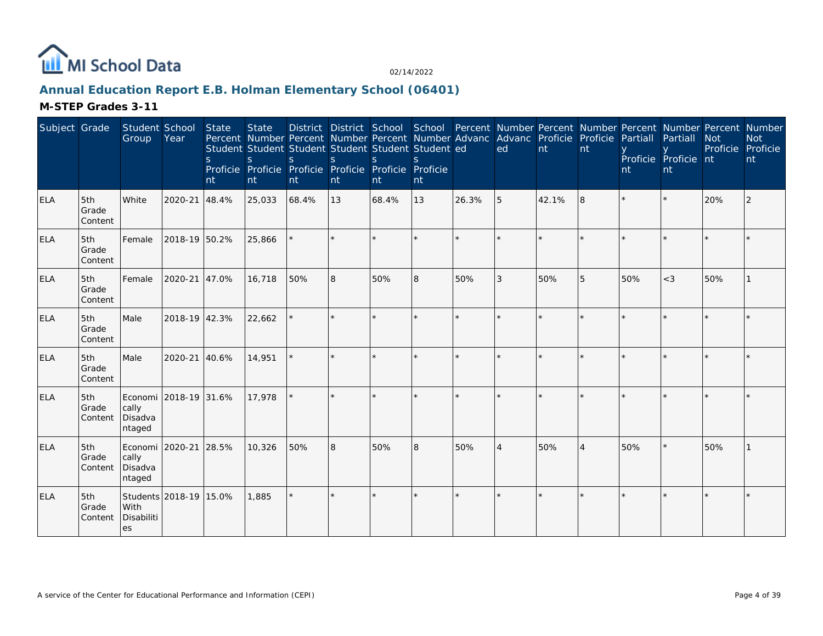

# **Annual Education Report E.B. Holman Elementary School (06401)**

| Subject Grade |                         | Student School<br>Group                             | Year          | <b>State</b><br><sub>S</sub><br>nt | <b>State</b><br>Percent Number Percent Number Percent Number Advanc Advanc Proficie Proficie<br>Student Student Student Student Student Student ed<br><sub>S</sub><br>Proficie Proficie Proficie Proficie Proficie Proficie<br>nt | S.<br>nt | S<br>nt | <sub>S</sub><br>Int | nt      |              | ed             | nt    | nt             | Partiall<br>nt | District District School School Percent Number Percent Number Percent Number Percent Number<br>Partiall<br>Proficie Proficie nt<br>nt | <b>Not</b><br>Proficie Proficie | <b>Not</b><br>nt |
|---------------|-------------------------|-----------------------------------------------------|---------------|------------------------------------|-----------------------------------------------------------------------------------------------------------------------------------------------------------------------------------------------------------------------------------|----------|---------|---------------------|---------|--------------|----------------|-------|----------------|----------------|---------------------------------------------------------------------------------------------------------------------------------------|---------------------------------|------------------|
| <b>ELA</b>    | 5th<br>Grade<br>Content | White                                               | 2020-21       | 48.4%                              | 25,033                                                                                                                                                                                                                            | 68.4%    | 13      | 68.4%               | 13      | 26.3%        | 5              | 42.1% | 8              |                |                                                                                                                                       | 20%                             | 2                |
| ELA           | 5th<br>Grade<br>Content | Female                                              | 2018-19 50.2% |                                    | 25,866                                                                                                                                                                                                                            |          |         |                     | ×.      |              |                |       |                |                |                                                                                                                                       |                                 |                  |
| <b>ELA</b>    | 5th<br>Grade<br>Content | Female                                              | 2020-21 47.0% |                                    | 16,718                                                                                                                                                                                                                            | 50%      | 8       | 50%                 | 8       | 50%          | 3              | 50%   | 5              | 50%            | $<$ 3                                                                                                                                 | 50%                             |                  |
| <b>ELA</b>    | 5th<br>Grade<br>Content | Male                                                | 2018-19 42.3% |                                    | 22,662                                                                                                                                                                                                                            |          |         |                     | ×.      |              |                |       |                |                |                                                                                                                                       |                                 |                  |
| ELA           | 5th<br>Grade<br>Content | Male                                                | 2020-21 40.6% |                                    | 14,951                                                                                                                                                                                                                            |          |         |                     | ×.      |              | $\star$        |       |                |                |                                                                                                                                       |                                 |                  |
| <b>ELA</b>    | 5th<br>Grade<br>Content | Economi 2018-19 31.6%<br>cally<br>Disadva<br>ntaged |               |                                    | 17,978                                                                                                                                                                                                                            |          |         |                     | $\star$ | $\mathbf{d}$ | $\star$        |       |                |                |                                                                                                                                       |                                 |                  |
| <b>ELA</b>    | 5th<br>Grade<br>Content | Economi 2020-21<br>cally<br>Disadva<br>ntaged       |               | 28.5%                              | 10,326                                                                                                                                                                                                                            | 50%      | 8       | 50%                 | 8       | 50%          | $\overline{4}$ | 50%   | $\overline{4}$ | 50%            |                                                                                                                                       | 50%                             |                  |
| <b>ELA</b>    | 5th<br>Grade<br>Content | Students 2018-19 15.0%<br>With<br>Disabiliti<br>les |               |                                    | 1,885                                                                                                                                                                                                                             | $\star$  |         |                     | $\star$ | $\star$      | $\star$        |       |                |                |                                                                                                                                       |                                 |                  |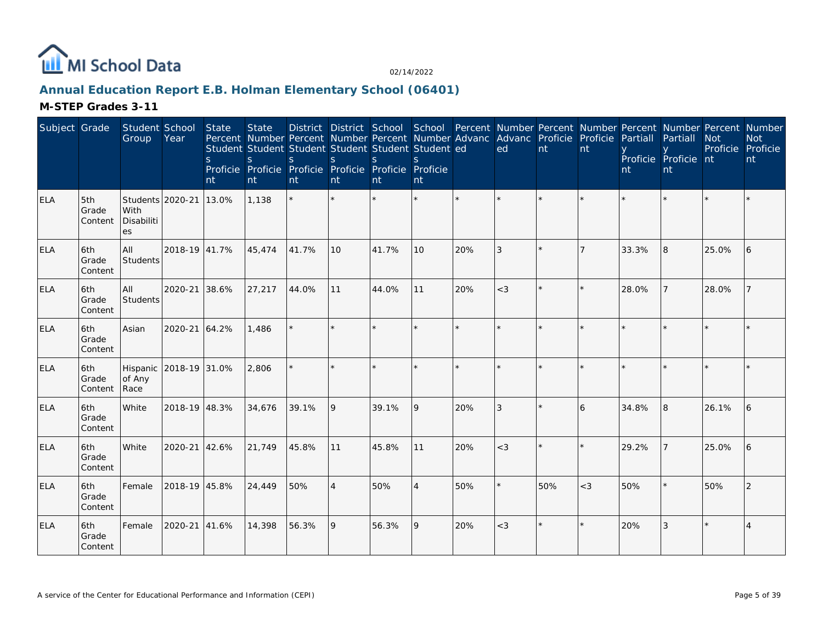

# **Annual Education Report E.B. Holman Elementary School (06401)**

| Subject Grade |                         | Student School<br>Group                      | Year          | <b>State</b><br>S.<br>nt | <b>State</b><br>Percent Number Percent Number Percent Number Advanc Advanc Proficie Proficie<br>Student Student Student Student Student Student ed<br>$\mathsf{S}$<br>Proficie Proficie Proficie Proficie Proficie Proficie<br>nt | S.<br>nt | <sub>S</sub><br>nt | District District School School Percent Number Percent Number Percent Number Percent Number<br>S.<br>nt | S<br>nt         |     | ed    | nt      | nt      | Partiall<br>nt | Partiall<br>Proficie Proficie nt<br>nt | <b>Not</b><br>Proficie Proficie | <b>Not</b><br>nt |
|---------------|-------------------------|----------------------------------------------|---------------|--------------------------|-----------------------------------------------------------------------------------------------------------------------------------------------------------------------------------------------------------------------------------|----------|--------------------|---------------------------------------------------------------------------------------------------------|-----------------|-----|-------|---------|---------|----------------|----------------------------------------|---------------------------------|------------------|
| <b>ELA</b>    | 5th<br>Grade<br>Content | Students 2020-21<br>With<br>Disabiliti<br>es |               | 13.0%                    | 1,138                                                                                                                                                                                                                             | $\star$  |                    |                                                                                                         | $\star$         |     |       |         | $\star$ |                |                                        |                                 |                  |
| <b>ELA</b>    | 6th<br>Grade<br>Content | All<br>Students                              | 2018-19 41.7% |                          | 45,474                                                                                                                                                                                                                            | 41.7%    | 10                 | 41.7%                                                                                                   | 10 <sup>°</sup> | 20% | 3     | $\star$ |         | 33.3%          | 8                                      | 25.0%                           | 6                |
| <b>ELA</b>    | 6th<br>Grade<br>Content | All<br>Students                              | 2020-21 38.6% |                          | 27,217                                                                                                                                                                                                                            | 44.0%    | 11                 | 44.0%                                                                                                   | 11              | 20% | $<$ 3 |         | $\star$ | 28.0%          |                                        | 28.0%                           |                  |
| <b>ELA</b>    | 6th<br>Grade<br>Content | Asian                                        | 2020-21 64.2% |                          | 1,486                                                                                                                                                                                                                             |          |                    |                                                                                                         | ÷.              |     |       |         |         |                |                                        |                                 |                  |
| ELA           | 6th<br>Grade<br>Content | Hispanic 2018-19 31.0%<br>of Any<br>Race     |               |                          | 2,806                                                                                                                                                                                                                             |          |                    |                                                                                                         | $\star$         |     |       |         |         |                |                                        |                                 |                  |
| <b>ELA</b>    | 6th<br>Grade<br>Content | White                                        | 2018-19 48.3% |                          | 34,676                                                                                                                                                                                                                            | 39.1%    | 9                  | 39.1%                                                                                                   | 9               | 20% | 3     |         | 6       | 34.8%          | 8                                      | 26.1%                           | 16               |
| <b>ELA</b>    | 6th<br>Grade<br>Content | White                                        | 2020-21 42.6% |                          | 21,749                                                                                                                                                                                                                            | 45.8%    | 11                 | 45.8%                                                                                                   | 11              | 20% | $<$ 3 |         | $\star$ | 29.2%          |                                        | 25.0%                           | 16               |
| <b>ELA</b>    | 6th<br>Grade<br>Content | Female                                       | 2018-19 45.8% |                          | 24,449                                                                                                                                                                                                                            | 50%      | $\overline{4}$     | 50%                                                                                                     | $\overline{4}$  | 50% |       | 50%     | $<$ 3   | 50%            |                                        | 50%                             | 2                |
| <b>ELA</b>    | 6th<br>Grade<br>Content | Female                                       | 2020-21       | 41.6%                    | 14,398                                                                                                                                                                                                                            | 56.3%    | 9                  | 56.3%                                                                                                   | 9               | 20% | $<$ 3 | $\star$ |         | 20%            | 3                                      |                                 |                  |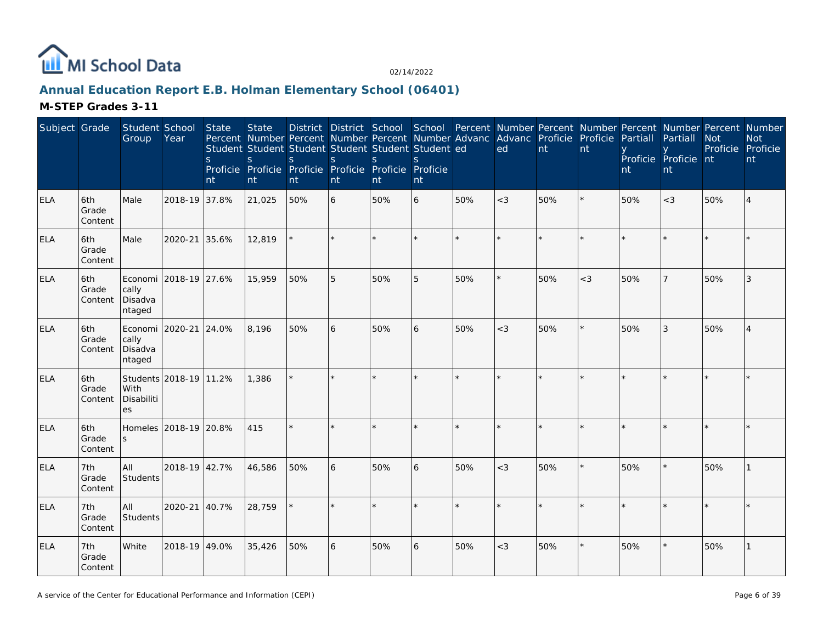

# **Annual Education Report E.B. Holman Elementary School (06401)**

| Subject Grade |                         | Student School<br>Group                       | Year                   | State<br><sub>S</sub><br>nt | <b>State</b><br>Percent Number Percent Number Percent Number Advanc Advanc Proficie Proficie<br>Student Student Student Student Student Student ed<br><sub>S</sub><br>Proficie Proficie Proficie Proficie Proficie Proficie<br>nt | <sub>S</sub><br>nt | S<br>nt | <sub>S</sub><br>nt | S<br>nt |         | ed      | nt      | nt    | Partiall<br>nt | District District School School Percent Number Percent Number Percent Number Percent Number<br>Partiall<br>Proficie Proficie nt<br>nt | <b>Not</b><br>Proficie Proficie | <b>Not</b><br>nt |
|---------------|-------------------------|-----------------------------------------------|------------------------|-----------------------------|-----------------------------------------------------------------------------------------------------------------------------------------------------------------------------------------------------------------------------------|--------------------|---------|--------------------|---------|---------|---------|---------|-------|----------------|---------------------------------------------------------------------------------------------------------------------------------------|---------------------------------|------------------|
| <b>ELA</b>    | 6th<br>Grade<br>Content | Male                                          | 2018-19 37.8%          |                             | 21,025                                                                                                                                                                                                                            | 50%                | 6       | 50%                | 6       | 50%     | $<$ 3   | 50%     |       | 50%            | $<$ 3                                                                                                                                 | 50%                             |                  |
| ELA           | 6th<br>Grade<br>Content | Male                                          | 2020-21                | 35.6%                       | 12,819                                                                                                                                                                                                                            |                    | $\star$ |                    | ×.      | $\star$ |         |         |       |                |                                                                                                                                       |                                 |                  |
| <b>ELA</b>    | 6th<br>Grade<br>Content | cally<br>Disadva<br>ntaged                    | Economi 2018-19 27.6%  |                             | 15,959                                                                                                                                                                                                                            | 50%                | 5       | 50%                | 5       | 50%     |         | 50%     | $<$ 3 | 50%            |                                                                                                                                       | 50%                             | 3                |
| <b>ELA</b>    | 6th<br>Grade<br>Content | Economi 2020-21<br>cally<br>Disadva<br>ntaged |                        | 24.0%                       | 8,196                                                                                                                                                                                                                             | 50%                | 6       | 50%                | 6       | 50%     | $<$ 3   | 50%     |       | 50%            | 3                                                                                                                                     | 50%                             |                  |
| <b>ELA</b>    | 6th<br>Grade<br>Content | With<br>Disabiliti<br>es                      | Students 2018-19 11.2% |                             | 1,386                                                                                                                                                                                                                             |                    |         |                    | ×.      |         | $\star$ |         |       |                |                                                                                                                                       |                                 |                  |
| <b>ELA</b>    | 6th<br>Grade<br>Content | $\mathsf{S}$                                  | Homeles 2018-19 20.8%  |                             | 415                                                                                                                                                                                                                               | $\star$            | ×.      |                    | $\star$ |         | $\star$ | $\star$ |       |                |                                                                                                                                       |                                 |                  |
| <b>ELA</b>    | 7th<br>Grade<br>Content | All<br>Students                               | 2018-19 42.7%          |                             | 46,586                                                                                                                                                                                                                            | 50%                | 6       | 50%                | 6       | 50%     | $<$ 3   | 50%     |       | 50%            |                                                                                                                                       | 50%                             |                  |
| <b>ELA</b>    | 7th<br>Grade<br>Content | All<br>Students                               | 2020-21                | 40.7%                       | 28,759                                                                                                                                                                                                                            |                    |         |                    | $\star$ | $\star$ | $\star$ |         |       |                |                                                                                                                                       |                                 |                  |
| <b>ELA</b>    | 7th<br>Grade<br>Content | White                                         | 2018-19 49.0%          |                             | 35,426                                                                                                                                                                                                                            | 50%                | 6       | 50%                | 6       | 50%     | $<$ 3   | 50%     |       | 50%            |                                                                                                                                       | 50%                             |                  |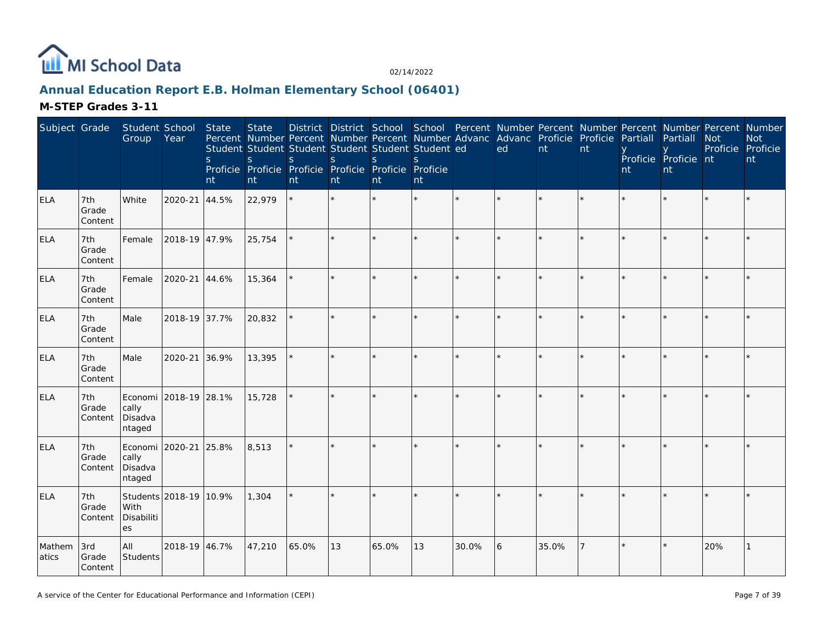

# **Annual Education Report E.B. Holman Elementary School (06401)**

| Subject Grade   |                         | Student School<br>Group                             | Year                   | State<br>S<br>nt | <b>State</b><br>Student Student Student Student Student Student ed<br><sub>S</sub><br>Proficie Proficie Proficie Proficie Proficie Proficie<br>nt | S.<br>nt | S<br>nt | <sub>S</sub><br>nt | <sub>S</sub><br>nt |       | District District School School Percent Number Percent Number Percent Number Percent Number<br>Percent Number Percent Number Percent Number Advanc Advanc Proficie Proficie<br>ed | nt    | nt | Partiall<br>nt | Partiall<br>Proficie Proficie nt<br>nt | <b>Not</b><br>Proficie Proficie | <b>Not</b><br>nt |
|-----------------|-------------------------|-----------------------------------------------------|------------------------|------------------|---------------------------------------------------------------------------------------------------------------------------------------------------|----------|---------|--------------------|--------------------|-------|-----------------------------------------------------------------------------------------------------------------------------------------------------------------------------------|-------|----|----------------|----------------------------------------|---------------------------------|------------------|
| <b>ELA</b>      | 7th<br>Grade<br>Content | White                                               | 2020-21                | 44.5%            | 22,979                                                                                                                                            |          |         |                    |                    |       |                                                                                                                                                                                   |       |    |                |                                        |                                 |                  |
| <b>ELA</b>      | 7th<br>Grade<br>Content | Female                                              | 2018-19 47.9%          |                  | 25,754                                                                                                                                            |          |         |                    |                    |       |                                                                                                                                                                                   |       |    |                |                                        |                                 |                  |
| <b>ELA</b>      | 7th<br>Grade<br>Content | Female                                              | 2020-21                | 44.6%            | 15,364                                                                                                                                            |          |         |                    |                    |       |                                                                                                                                                                                   |       |    |                |                                        |                                 |                  |
| <b>ELA</b>      | 7th<br>Grade<br>Content | Male                                                | 2018-19 37.7%          |                  | 20,832                                                                                                                                            |          |         |                    |                    |       |                                                                                                                                                                                   |       |    |                |                                        |                                 |                  |
| <b>ELA</b>      | 7th<br>Grade<br>Content | Male                                                | 2020-21                | 36.9%            | 13,395                                                                                                                                            |          |         |                    |                    |       |                                                                                                                                                                                   |       |    |                |                                        |                                 |                  |
| ELA             | 7th<br>Grade<br>Content | Economi 2018-19 28.1%<br>cally<br>Disadva<br>ntaged |                        |                  | 15,728                                                                                                                                            |          |         |                    |                    |       |                                                                                                                                                                                   |       |    |                |                                        |                                 |                  |
| <b>ELA</b>      | 7th<br>Grade<br>Content | Economi 2020-21 25.8%<br>cally<br>Disadva<br>ntaged |                        |                  | 8,513                                                                                                                                             |          |         |                    |                    |       |                                                                                                                                                                                   |       |    |                |                                        |                                 |                  |
| <b>ELA</b>      | 7th<br>Grade<br>Content | With<br>Disabiliti<br>es                            | Students 2018-19 10.9% |                  | 1,304                                                                                                                                             |          |         |                    |                    |       |                                                                                                                                                                                   |       |    |                |                                        |                                 |                  |
| Mathem<br>atics | 3rd<br>Grade<br>Content | All<br>Students                                     | 2018-19 46.7%          |                  | 47,210                                                                                                                                            | 65.0%    | 13      | 65.0%              | 13                 | 30.0% | 6                                                                                                                                                                                 | 35.0% | 7  |                |                                        | 20%                             |                  |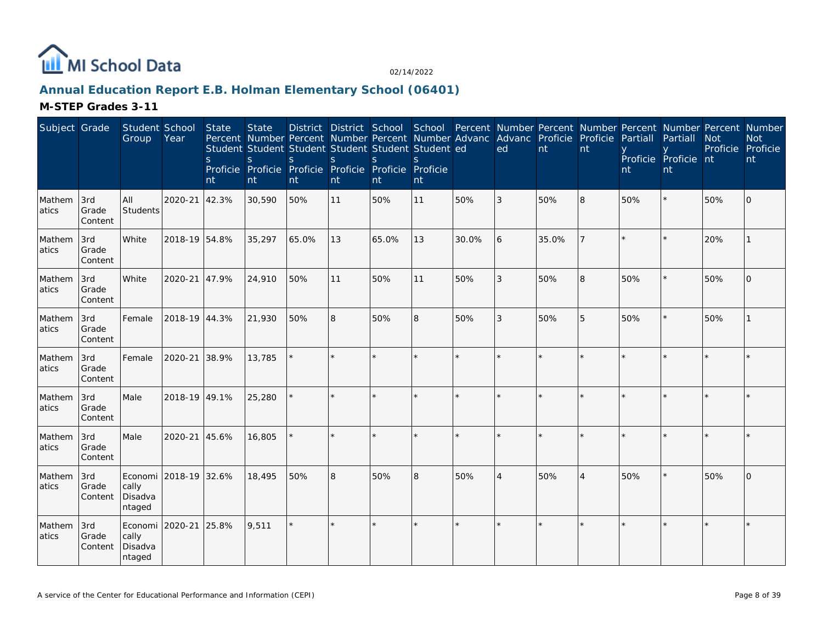

# **Annual Education Report E.B. Holman Elementary School (06401)**

| Subject Grade   |                         | Student School<br>Group                 | Year          | State<br><sub>S</sub><br>nt | <b>State</b><br>Percent Number Percent Number Percent Number Advanc<br>Student Student Student Student Student Student ed<br>S<br>Proficie Proficie Proficie Proficie Proficie Proficie<br>nt | <sub>S</sub><br>nt | S<br>nt | <sub>S</sub><br>nt | $\mathcal{S}_{\mathcal{S}}$<br>nt |       | District District School School Percent Number Percent Number Percent Number Percent Number<br>Advanc Proficie Proficie<br>ed | nt    | nt             | Partiall<br>nt | Partiall<br>Proficie Proficie nt<br>nt | <b>Not</b><br>Proficie Proficie | <b>Not</b><br>nt |
|-----------------|-------------------------|-----------------------------------------|---------------|-----------------------------|-----------------------------------------------------------------------------------------------------------------------------------------------------------------------------------------------|--------------------|---------|--------------------|-----------------------------------|-------|-------------------------------------------------------------------------------------------------------------------------------|-------|----------------|----------------|----------------------------------------|---------------------------------|------------------|
| Mathem<br>atics | 3rd<br>Grade<br>Content | All<br>Students                         | 2020-21       | 42.3%                       | 30,590                                                                                                                                                                                        | 50%                | 11      | 50%                | 11                                | 50%   | 3                                                                                                                             | 50%   | 8              | 50%            |                                        | 50%                             | $\Omega$         |
| Mathem<br>atics | 3rd<br>Grade<br>Content | White                                   | 2018-19 54.8% |                             | 35,297                                                                                                                                                                                        | 65.0%              | 13      | 65.0%              | 13                                | 30.0% | 6                                                                                                                             | 35.0% |                |                |                                        | 20%                             |                  |
| Mathem<br>atics | 3rd<br>Grade<br>Content | White                                   | 2020-21       | 47.9%                       | 24,910                                                                                                                                                                                        | 50%                | 11      | 50%                | 11                                | 50%   | 3                                                                                                                             | 50%   | 8              | 50%            |                                        | 50%                             | $\Omega$         |
| Mathem<br>atics | 3rd<br>Grade<br>Content | Female                                  | 2018-19 44.3% |                             | 21,930                                                                                                                                                                                        | 50%                | 8       | 50%                | 8                                 | 50%   | 3                                                                                                                             | 50%   | 5              | 50%            |                                        | 50%                             |                  |
| Mathem<br>atics | 3rd<br>Grade<br>Content | Female                                  | 2020-21       | 38.9%                       | 13,785                                                                                                                                                                                        |                    |         |                    | $\star$                           |       |                                                                                                                               |       |                |                |                                        |                                 |                  |
| Mathem<br>atics | 3rd<br>Grade<br>Content | Male                                    | 2018-19 49.1% |                             | 25,280                                                                                                                                                                                        |                    | ×.      |                    | $\star$                           |       |                                                                                                                               |       |                |                |                                        |                                 |                  |
| Mathem<br>atics | 3rd<br>Grade<br>Content | Male                                    | 2020-21       | 45.6%                       | 16,805                                                                                                                                                                                        |                    | ×.      |                    |                                   |       |                                                                                                                               |       |                |                |                                        |                                 |                  |
| Mathem<br>atics | 3rd<br>Grade<br>Content | Economi<br>cally<br>Disadva<br>ntaged   | 2018-19 32.6% |                             | 18,495                                                                                                                                                                                        | 50%                | 8       | 50%                | 8                                 | 50%   | $\overline{4}$                                                                                                                | 50%   | $\overline{4}$ | 50%            |                                        | 50%                             | $\Omega$         |
| Mathem<br>atics | 3rd<br>Grade<br>Content | Economi  <br>cally<br>Disadva<br>ntaged | 2020-21       | 25.8%                       | 9,511                                                                                                                                                                                         | $\star$            | $\star$ |                    | $\star$                           |       | $\star$                                                                                                                       |       |                |                |                                        |                                 | $\star$          |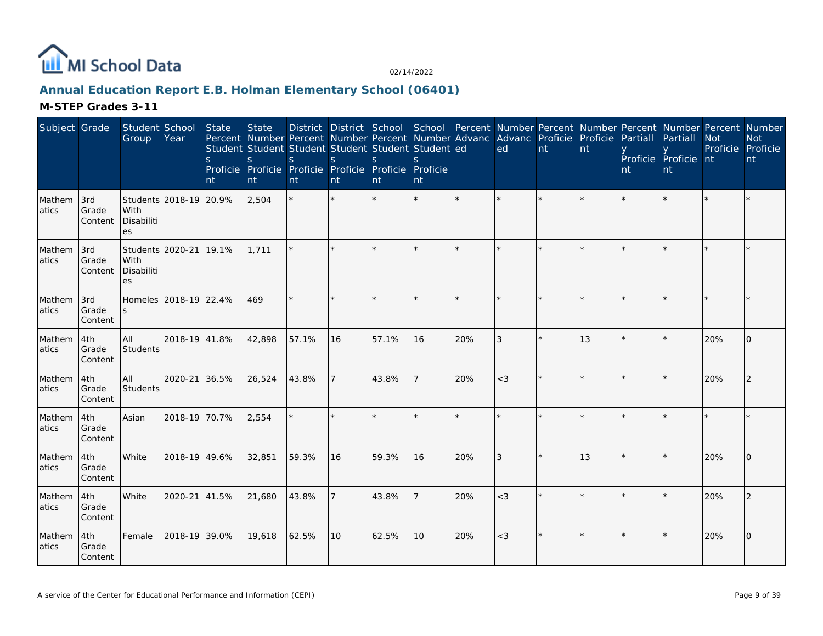

# **Annual Education Report E.B. Holman Elementary School (06401)**

| Subject Grade   |                         | Student School<br>Group  | Year                   | State<br>S.<br>nt | <b>State</b><br>Percent Number Percent Number Percent Number Advanc<br>Student Student Student Student Student Student ed<br>S<br>Proficie Proficie Proficie Proficie Proficie Proficie<br>nt | S.<br>nt | <sub>S</sub><br>nt | <sub>S</sub><br>nt | S.<br>nt |     | District District School School Percent Number Percent Number Percent Number Percent Number<br>Advanc Proficie Proficie<br>ed | nt | nt | Partiall<br>nt | Partiall<br>Proficie Proficie nt<br>nt | <b>Not</b><br>Proficie Proficie | <b>Not</b><br>nt |
|-----------------|-------------------------|--------------------------|------------------------|-------------------|-----------------------------------------------------------------------------------------------------------------------------------------------------------------------------------------------|----------|--------------------|--------------------|----------|-----|-------------------------------------------------------------------------------------------------------------------------------|----|----|----------------|----------------------------------------|---------------------------------|------------------|
| Mathem<br>atics | 3rd<br>Grade<br>Content | With<br>Disabiliti<br>es | Students 2018-19 20.9% |                   | 2,504                                                                                                                                                                                         |          |                    |                    |          |     |                                                                                                                               |    |    |                |                                        |                                 |                  |
| Mathem<br>atics | 3rd<br>Grade<br>Content | With<br>Disabiliti<br>es | Students 2020-21 19.1% |                   | 1,711                                                                                                                                                                                         |          |                    |                    |          |     |                                                                                                                               |    |    |                |                                        |                                 |                  |
| Mathem<br>atics | 3rd<br>Grade<br>Content |                          | Homeles 2018-19 22.4%  |                   | 469                                                                                                                                                                                           |          |                    |                    |          |     |                                                                                                                               |    |    |                |                                        |                                 |                  |
| Mathem<br>atics | 4th<br>Grade<br>Content | All<br><b>Students</b>   | 2018-19 41.8%          |                   | 42,898                                                                                                                                                                                        | 57.1%    | 16                 | 57.1%              | 16       | 20% | 3                                                                                                                             |    | 13 |                |                                        | 20%                             | $\Omega$         |
| Mathem<br>atics | 4th<br>Grade<br>Content | All<br>Students          | 2020-21 36.5%          |                   | 26,524                                                                                                                                                                                        | 43.8%    |                    | 43.8%              |          | 20% | $<$ 3                                                                                                                         |    |    |                |                                        | 20%                             | 2                |
| Mathem<br>atics | 4th<br>Grade<br>Content | Asian                    | 2018-19 70.7%          |                   | 2,554                                                                                                                                                                                         |          |                    |                    |          |     |                                                                                                                               |    |    |                |                                        |                                 |                  |
| Mathem<br>atics | 4th<br>Grade<br>Content | White                    | 2018-19 49.6%          |                   | 32,851                                                                                                                                                                                        | 59.3%    | 16                 | 59.3%              | 16       | 20% | 3                                                                                                                             |    | 13 |                |                                        | 20%                             | $\Omega$         |
| Mathem<br>atics | 4th<br>Grade<br>Content | White                    | 2020-21 41.5%          |                   | 21,680                                                                                                                                                                                        | 43.8%    |                    | 43.8%              |          | 20% | $<$ 3                                                                                                                         |    |    |                |                                        | 20%                             | 2                |
| Mathem<br>atics | 4th<br>Grade<br>Content | Female                   | 2018-19 39.0%          |                   | 19,618                                                                                                                                                                                        | 62.5%    | 10 <sup>°</sup>    | 62.5%              | 10       | 20% | $<$ 3                                                                                                                         |    |    |                |                                        | 20%                             | $\Omega$         |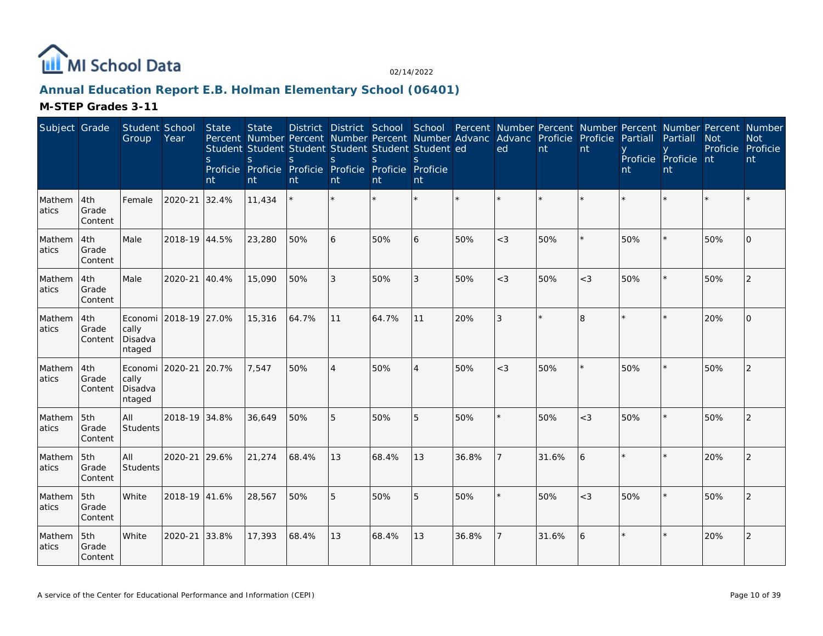

# **Annual Education Report E.B. Holman Elementary School (06401)**

| Subject Grade    |                         | Student School<br>Group                       | Year                  | State<br>S.<br>nt | <b>State</b><br>Percent Number Percent Number Percent Number Advanc<br>Student Student Student Student Student Student ed<br>S.<br>Proficie Proficie Proficie Proficie Proficie Proficie<br>nt | S.<br>nt | <sub>S</sub><br>nt | <sub>S</sub><br><b>nt</b> | S.<br>nt       |       | District District School School Percent Number Percent Number Percent Number Percent Number<br>Advanc Proficie<br>ed | nt    | Proficie<br>nt | Partiall<br>nt | Partiall<br>Proficie Proficie nt<br>nt | <b>Not</b><br>Proficie Proficie | <b>Not</b><br>nt |
|------------------|-------------------------|-----------------------------------------------|-----------------------|-------------------|------------------------------------------------------------------------------------------------------------------------------------------------------------------------------------------------|----------|--------------------|---------------------------|----------------|-------|----------------------------------------------------------------------------------------------------------------------|-------|----------------|----------------|----------------------------------------|---------------------------------|------------------|
| Mathem<br>atics  | 4th<br>Grade<br>Content | Female                                        | 2020-21               | 32.4%             | 11,434                                                                                                                                                                                         |          |                    |                           |                |       |                                                                                                                      |       |                |                |                                        |                                 |                  |
| Mathem<br>atics  | 4th<br>Grade<br>Content | Male                                          | 2018-19 44.5%         |                   | 23,280                                                                                                                                                                                         | 50%      | 6                  | 50%                       | 6              | 50%   | $<$ 3                                                                                                                | 50%   |                | 50%            |                                        | 50%                             | $\Omega$         |
| Mathem<br>latics | 4th<br>Grade<br>Content | Male                                          | 2020-21               | 40.4%             | 15,090                                                                                                                                                                                         | 50%      | 3                  | 50%                       | 3              | 50%   | $<$ 3                                                                                                                | 50%   | $<$ 3          | 50%            |                                        | 50%                             | 2                |
| Mathem<br>atics  | 4th<br>Grade<br>Content | cally<br>Disadva<br>ntaged                    | Economi 2018-19 27.0% |                   | 15,316                                                                                                                                                                                         | 64.7%    | 11                 | 64.7%                     | 11             | 20%   | 3                                                                                                                    |       | 8              |                |                                        | 20%                             | $\Omega$         |
| Mathem<br>atics  | 4th<br>Grade<br>Content | Economi 2020-21<br>cally<br>Disadva<br>ntaged |                       | 20.7%             | 7,547                                                                                                                                                                                          | 50%      | $\overline{4}$     | 50%                       | $\overline{4}$ | 50%   | $<$ 3                                                                                                                | 50%   | $\star$        | 50%            |                                        | 50%                             | 2                |
| Mathem<br>atics  | 5th<br>Grade<br>Content | All<br>Students                               | 2018-19 34.8%         |                   | 36,649                                                                                                                                                                                         | 50%      | 5                  | 50%                       | 5              | 50%   |                                                                                                                      | 50%   | $<$ 3          | 50%            |                                        | 50%                             | 2                |
| Mathem<br>atics  | 5th<br>Grade<br>Content | All<br><b>Students</b>                        | 2020-21 29.6%         |                   | 21,274                                                                                                                                                                                         | 68.4%    | 13                 | 68.4%                     | 13             | 36.8% |                                                                                                                      | 31.6% | 6              |                |                                        | 20%                             | $\mathcal{P}$    |
| Mathem<br>atics  | 5th<br>Grade<br>Content | White                                         | 2018-19 41.6%         |                   | 28,567                                                                                                                                                                                         | 50%      | 5                  | 50%                       | 5              | 50%   |                                                                                                                      | 50%   | $<$ 3          | 50%            |                                        | 50%                             | 2                |
| Mathem<br>atics  | 5th<br>Grade<br>Content | White                                         | 2020-21               | 33.8%             | 17,393                                                                                                                                                                                         | 68.4%    | 13                 | 68.4%                     | 13             | 36.8% |                                                                                                                      | 31.6% | 6              |                |                                        | 20%                             | 2                |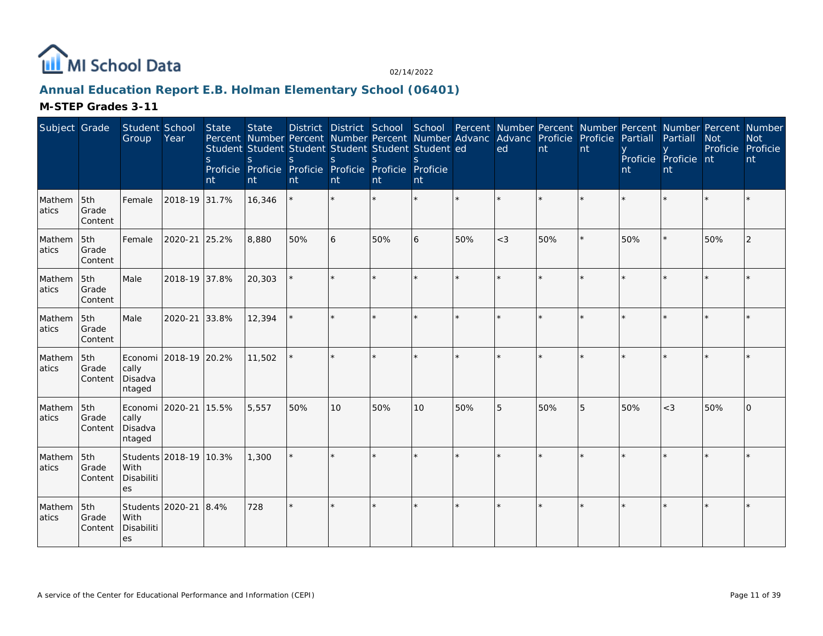

# **Annual Education Report E.B. Holman Elementary School (06401)**

| Subject Grade   |                         | Student School<br>Group                       | Year                   | State<br><sub>S</sub><br>nt | <b>State</b><br>$\mathsf{S}$<br>nt | District District School School Percent Number Percent Number Percent Number Percent Number<br>Percent Number Percent Number Percent Number Advanc Advanc Proficie Proficie<br>Student Student Student Student Student Student ed<br><sub>S</sub><br>Proficie Proficie Proficie Proficie Proficie Proficie<br>nt | <sub>S</sub><br>nt | $\mathbf S$<br>nt | S.<br>nt        |         | ed      | nt  | nt | Partiall<br>nt | Partiall<br>Proficie Proficie nt<br>nt | <b>Not</b><br>Proficie | <b>Not</b><br>Proficie<br>nt |
|-----------------|-------------------------|-----------------------------------------------|------------------------|-----------------------------|------------------------------------|------------------------------------------------------------------------------------------------------------------------------------------------------------------------------------------------------------------------------------------------------------------------------------------------------------------|--------------------|-------------------|-----------------|---------|---------|-----|----|----------------|----------------------------------------|------------------------|------------------------------|
| Mathem<br>atics | 5th<br>Grade<br>Content | Female                                        | 2018-19 31.7%          |                             | 16,346                             | $\star$                                                                                                                                                                                                                                                                                                          | $\star$            |                   | ¥.              | $\star$ |         |     |    |                |                                        |                        |                              |
| Mathem<br>atics | 5th<br>Grade<br>Content | Female                                        | 2020-21                | 25.2%                       | 8,880                              | 50%                                                                                                                                                                                                                                                                                                              | 6                  | 50%               | 6               | 50%     | $<$ 3   | 50% |    | 50%            |                                        | 50%                    | 2                            |
| Mathem<br>atics | 5th<br>Grade<br>Content | Male                                          | 2018-19 37.8%          |                             | 20,303                             |                                                                                                                                                                                                                                                                                                                  | ×.                 |                   | $\star$         |         | $\star$ |     |    |                |                                        |                        |                              |
| Mathem<br>atics | 5th<br>Grade<br>Content | Male                                          | 2020-21                | 33.8%                       | 12,394                             |                                                                                                                                                                                                                                                                                                                  |                    |                   | ×.              |         |         |     |    |                |                                        |                        |                              |
| Mathem<br>atics | 5th<br>Grade<br>Content | cally<br>Disadva<br>ntaged                    | Economi 2018-19 20.2%  |                             | 11,502                             |                                                                                                                                                                                                                                                                                                                  |                    |                   | ×.              |         |         |     |    |                |                                        |                        |                              |
| Mathem<br>atics | 5th<br>Grade<br>Content | Economi 2020-21<br>cally<br>Disadva<br>ntaged |                        | 15.5%                       | 5,557                              | 50%                                                                                                                                                                                                                                                                                                              | 10                 | 50%               | 10 <sup>°</sup> | 50%     | 5       | 50% | 5  | 50%            | $<$ 3                                  | 50%                    | $\Omega$                     |
| Mathem<br>atics | 5th<br>Grade<br>Content | With<br>Disabiliti<br>es                      | Students 2018-19 10.3% |                             | 1,300                              |                                                                                                                                                                                                                                                                                                                  |                    |                   |                 |         |         |     |    |                |                                        |                        |                              |
| Mathem<br>atics | 5th<br>Grade<br>Content | Students 2020-21<br>With<br>Disabiliti<br>es  |                        | 8.4%                        | 728                                |                                                                                                                                                                                                                                                                                                                  |                    |                   | $\star$         |         |         |     |    |                |                                        |                        |                              |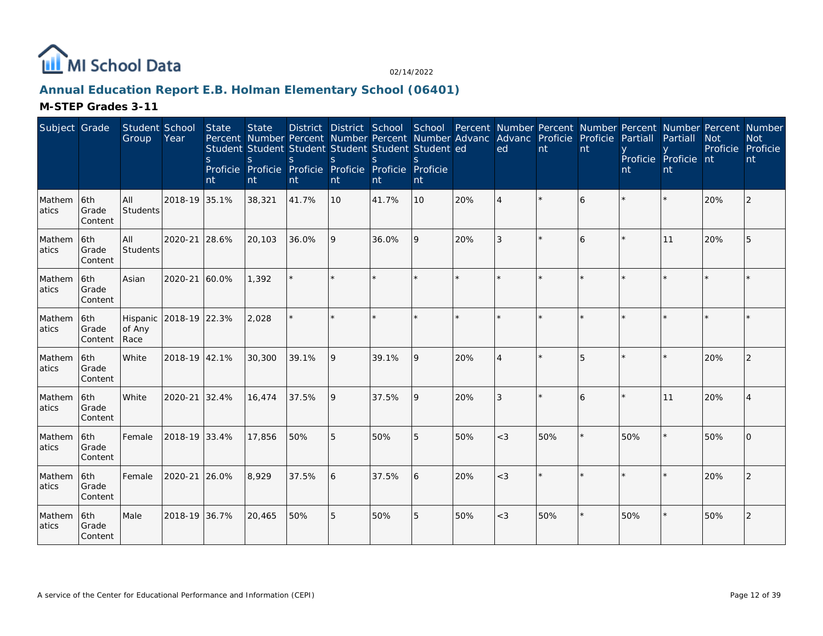

# **Annual Education Report E.B. Holman Elementary School (06401)**

| Subject Grade    |                          | Student School<br>Group    | Year          | State<br><sub>S</sub><br>nt | <b>State</b><br>S.<br>nt | Percent Number Percent Number Percent Number Advanc Advanc Proficie Proficie<br>Student Student Student Student Student Student ed<br><sub>S</sub><br>Proficie Proficie Proficie Proficie Proficie Proficie<br>nt | <sub>S</sub><br>nt | <sub>S</sub><br>nt | $\mathcal{S}$<br>nt |     | ed             | nt  | nt             | Partiall<br>nt | District District School School Percent Number Percent Number Percent Number Percent Number<br>Partiall<br>Proficie Proficie nt<br>nt | <b>Not</b><br>Proficie Proficie | <b>Not</b><br>nt |
|------------------|--------------------------|----------------------------|---------------|-----------------------------|--------------------------|-------------------------------------------------------------------------------------------------------------------------------------------------------------------------------------------------------------------|--------------------|--------------------|---------------------|-----|----------------|-----|----------------|----------------|---------------------------------------------------------------------------------------------------------------------------------------|---------------------------------|------------------|
| Mathem<br>latics | 6th<br>Grade<br>Content  | lail<br>Students           | 2018-19 35.1% |                             | 38,321                   | 41.7%                                                                                                                                                                                                             | 10                 | 41.7%              | 10                  | 20% | $\overline{4}$ |     | 6              |                |                                                                                                                                       | 20%                             | 2                |
| Mathem<br>atics  | 6th<br>Grade<br>Content  | All<br>Students            | 2020-21       | 28.6%                       | 20,103                   | 36.0%                                                                                                                                                                                                             | 9                  | 36.0%              | 9                   | 20% | 3              |     | 6              |                | 11                                                                                                                                    | 20%                             |                  |
| Mathem<br>latics | l6th<br>Grade<br>Content | Asian                      | 2020-21       | 60.0%                       | 1,392                    |                                                                                                                                                                                                                   |                    |                    | $\star$             | ÷.  | $\star$        |     |                |                |                                                                                                                                       |                                 |                  |
| Mathem<br>atics  | 6th<br>Grade<br>Content  | Hispanic<br>of Any<br>Race | 2018-19 22.3% |                             | 2,028                    |                                                                                                                                                                                                                   |                    |                    | ×.                  |     | $\star$        |     |                |                |                                                                                                                                       |                                 |                  |
| Mathem<br>atics  | 6th<br>Grade<br>Content  | White                      | 2018-19 42.1% |                             | 30,300                   | 39.1%                                                                                                                                                                                                             | l 9                | 39.1%              | 9                   | 20% | $\Delta$       |     | 5              |                |                                                                                                                                       | 20%                             | 2                |
| Mathem<br>atics  | 6th<br>Grade<br>Content  | White                      | 2020-21       | 32.4%                       | 16,474                   | 37.5%                                                                                                                                                                                                             | 9                  | 37.5%              | 9                   | 20% | 3              |     | $\overline{a}$ |                | 11                                                                                                                                    | 20%                             |                  |
| Mathem<br>atics  | 6th<br>Grade<br>Content  | Female                     | 2018-19 33.4% |                             | 17,856                   | 50%                                                                                                                                                                                                               | 5                  | 50%                | 5                   | 50% | $<$ 3          | 50% |                | 50%            |                                                                                                                                       | 50%                             | <sup>n</sup>     |
| Mathem<br>atics  | 6th<br>Grade<br>Content  | Female                     | 2020-21       | 26.0%                       | 8,929                    | 37.5%                                                                                                                                                                                                             | 6                  | 37.5%              | 6                   | 20% | $<$ 3          |     |                |                |                                                                                                                                       | 20%                             |                  |
| Mathem<br>atics  | 6th<br>Grade<br>Content  | Male                       | 2018-19 36.7% |                             | 20,465                   | 50%                                                                                                                                                                                                               | 5                  | 50%                | 5                   | 50% | $<$ 3          | 50% |                | 50%            |                                                                                                                                       | 50%                             | 2                |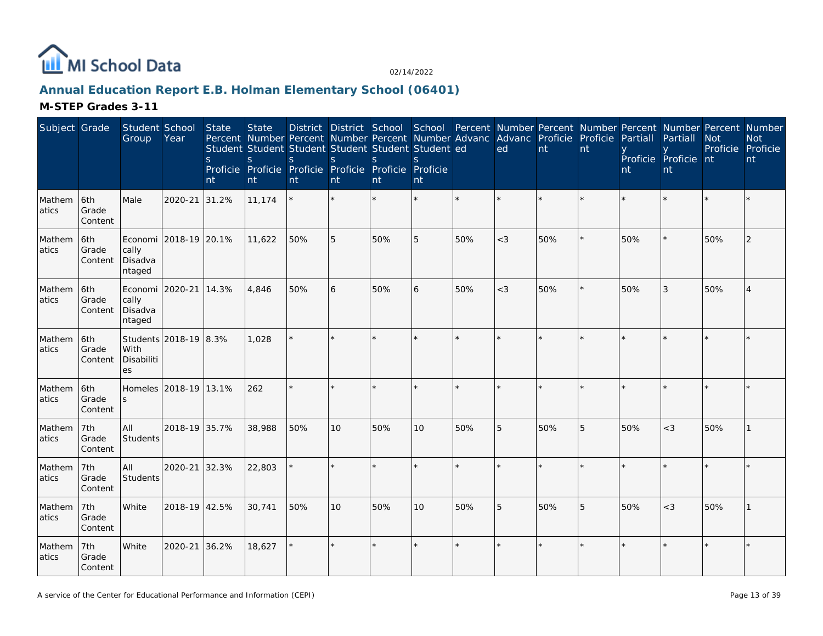

# **Annual Education Report E.B. Holman Elementary School (06401)**

| Subject Grade   |                         | Student School<br>Group    | Year                  | State<br>S.<br>nt | <b>State</b><br>Percent Number Percent Number Percent Number Advanc<br>Student Student Student Student Student Student ed<br>S<br>Proficie Proficie Proficie Proficie Proficie Proficie<br>nt | <sub>S</sub><br>nt | S<br>nt | District District School School Percent Number Percent Number Percent Number Percent Number<br><sub>S</sub><br>nt | <sub>S</sub><br>nt |     | Advanc Proficie Proficie<br>ed | nt  | nt      | Partiall<br>nt | Partiall<br>Proficie Proficie nt<br>nt | <b>Not</b><br>Proficie Proficie | <b>Not</b><br>nt |
|-----------------|-------------------------|----------------------------|-----------------------|-------------------|-----------------------------------------------------------------------------------------------------------------------------------------------------------------------------------------------|--------------------|---------|-------------------------------------------------------------------------------------------------------------------|--------------------|-----|--------------------------------|-----|---------|----------------|----------------------------------------|---------------------------------|------------------|
| Mathem<br>atics | 6th<br>Grade<br>Content | Male                       | 2020-21               | 31.2%             | 11,174                                                                                                                                                                                        |                    |         |                                                                                                                   |                    |     |                                |     |         |                |                                        |                                 |                  |
| Mathem<br>atics | 6th<br>Grade<br>Content | cally<br>Disadva<br>ntaged | Economi 2018-19 20.1% |                   | 11,622                                                                                                                                                                                        | 50%                | 5       | 50%                                                                                                               | 5                  | 50% | $<$ 3                          | 50% |         | 50%            |                                        | 50%                             | 2                |
| Mathem<br>atics | 6th<br>Grade<br>Content | cally<br>Disadva<br>ntaged | Economi 2020-21 14.3% |                   | 4,846                                                                                                                                                                                         | 50%                | 6       | 50%                                                                                                               | 6                  | 50% | $<$ 3                          | 50% |         | 50%            | 3                                      | 50%                             | 4                |
| Mathem<br>atics | 6th<br>Grade<br>Content | With<br>Disabiliti<br>es   | Students 2018-19 8.3% |                   | 1,028                                                                                                                                                                                         |                    |         |                                                                                                                   |                    |     |                                |     |         |                |                                        |                                 |                  |
| Mathem<br>atics | 6th<br>Grade<br>Content | S                          | Homeles 2018-19 13.1% |                   | 262                                                                                                                                                                                           | $\star$            | $\star$ |                                                                                                                   |                    |     |                                |     | $\star$ |                |                                        |                                 | $\star$          |
| Mathem<br>atics | 7th<br>Grade<br>Content | All<br>Students            | 2018-19 35.7%         |                   | 38,988                                                                                                                                                                                        | 50%                | 10      | 50%                                                                                                               | 10                 | 50% | 5                              | 50% | 5       | 50%            | $<$ 3                                  | 50%                             |                  |
| Mathem<br>atics | 7th<br>Grade<br>Content | All<br>Students            | 2020-21 32.3%         |                   | 22,803                                                                                                                                                                                        |                    |         |                                                                                                                   |                    |     |                                |     |         |                |                                        |                                 |                  |
| Mathem<br>atics | 7th<br>Grade<br>Content | White                      | 2018-19 42.5%         |                   | 30,741                                                                                                                                                                                        | 50%                | 10      | 50%                                                                                                               | 10                 | 50% | 5                              | 50% | 5       | 50%            | $<$ 3                                  | 50%                             |                  |
| Mathem<br>atics | 7th<br>Grade<br>Content | White                      | 2020-21               | 36.2%             | 18,627                                                                                                                                                                                        |                    | $\star$ |                                                                                                                   |                    |     | $\ddot{\phantom{0}}$           |     | $\star$ |                |                                        |                                 |                  |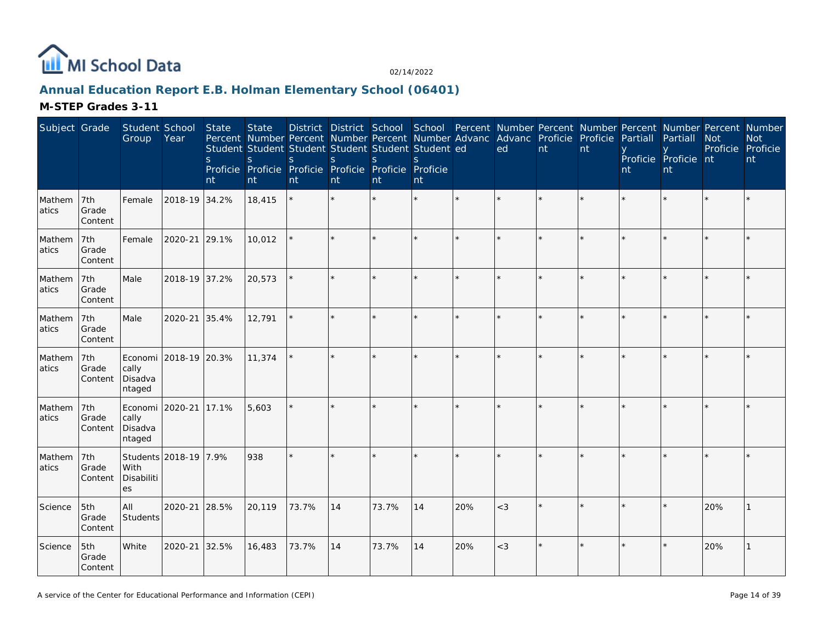

# **Annual Education Report E.B. Holman Elementary School (06401)**

| Subject Grade   |                         | Student School<br>Group               | Year                  | State<br><sub>S</sub><br>nt | <b>State</b><br>Percent Number Percent Number Percent Number Advanc<br>Student Student Student Student Student Student ed<br>S.<br>Proficie Proficie Proficie Proficie Proficie<br>nt | <sub>S</sub><br>nt | S<br>nt | <sub>S</sub><br>nt | <sub>S</sub><br>Proficie<br>nt |     | District District School School Percent Number Percent Number Percent Number Percent Number<br>Advanc Proficie Proficie<br>ed | nt | nt      | Partiall<br>nt | Partiall<br>Proficie Proficie nt<br>nt | <b>Not</b><br>Proficie Proficie | <b>Not</b><br>nt |
|-----------------|-------------------------|---------------------------------------|-----------------------|-----------------------------|---------------------------------------------------------------------------------------------------------------------------------------------------------------------------------------|--------------------|---------|--------------------|--------------------------------|-----|-------------------------------------------------------------------------------------------------------------------------------|----|---------|----------------|----------------------------------------|---------------------------------|------------------|
| Mathem<br>atics | 7th<br>Grade<br>Content | Female                                | 2018-19 34.2%         |                             | 18,415                                                                                                                                                                                |                    |         |                    |                                |     |                                                                                                                               |    | $\star$ |                |                                        |                                 |                  |
| Mathem<br>atics | 7th<br>Grade<br>Content | Female                                | 2020-21 29.1%         |                             | 10,012                                                                                                                                                                                |                    |         |                    |                                |     |                                                                                                                               |    |         |                |                                        |                                 |                  |
| Mathem<br>atics | 7th<br>Grade<br>Content | Male                                  | 2018-19 37.2%         |                             | 20,573                                                                                                                                                                                |                    |         |                    |                                |     |                                                                                                                               |    |         |                |                                        |                                 |                  |
| Mathem<br>atics | 7th<br>Grade<br>Content | Male                                  | 2020-21               | 35.4%                       | 12,791                                                                                                                                                                                |                    |         |                    |                                |     |                                                                                                                               |    |         |                |                                        |                                 |                  |
| Mathem<br>atics | 7th<br>Grade<br>Content | Economi<br>cally<br>Disadva<br>ntaged | 2018-19 20.3%         |                             | 11,374                                                                                                                                                                                |                    |         |                    |                                |     |                                                                                                                               |    |         |                |                                        |                                 |                  |
| Mathem<br>atics | 7th<br>Grade<br>Content | cally<br>Disadva<br>ntaged            | Economi 2020-21 17.1% |                             | 5,603                                                                                                                                                                                 |                    |         |                    |                                |     |                                                                                                                               |    |         |                |                                        |                                 |                  |
| Mathem<br>atics | 7th<br>Grade<br>Content | With<br>Disabiliti<br>es              | Students 2018-19 7.9% |                             | 938                                                                                                                                                                                   |                    |         |                    |                                |     |                                                                                                                               |    |         |                |                                        |                                 |                  |
| Science         | 5th<br>Grade<br>Content | All<br>Students                       | 2020-21 28.5%         |                             | 20,119                                                                                                                                                                                | 73.7%              | 14      | 73.7%              | 14                             | 20% | $<$ 3                                                                                                                         |    |         |                |                                        | 20%                             |                  |
| Science         | 5th<br>Grade<br>Content | White                                 | 2020-21               | 32.5%                       | 16,483                                                                                                                                                                                | 73.7%              | 14      | 73.7%              | 14                             | 20% | $<$ 3                                                                                                                         |    |         |                |                                        | 20%                             |                  |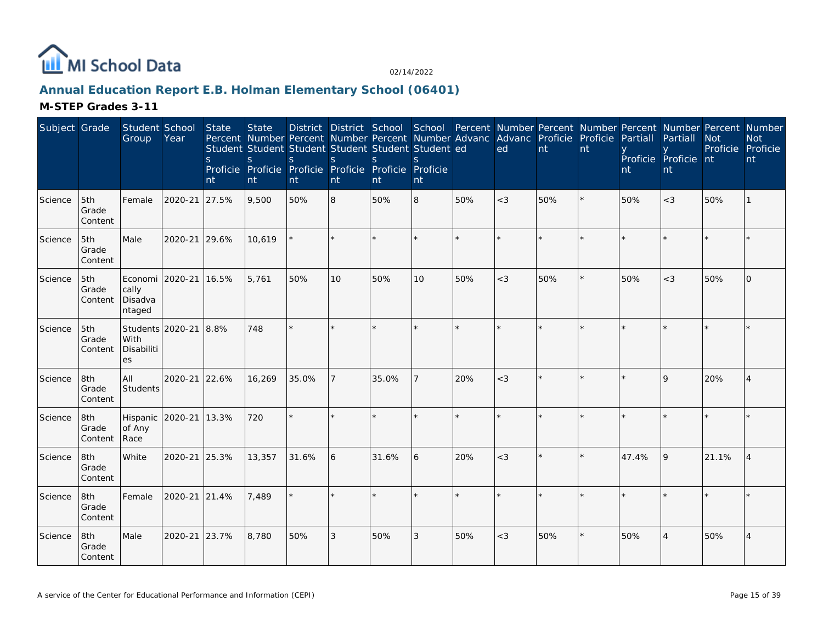

# **Annual Education Report E.B. Holman Elementary School (06401)**

| Subject Grade |                         | Student School<br>Group                       | Year          | State<br>S.<br>nt | <b>State</b><br>S.<br>nt | S.<br>nt | <sub>S</sub><br>nt | Percent Number Percent Number Percent Number Advanc<br>Student Student Student Student Student Student ed<br><sub>S</sub><br>Proficie Proficie Proficie Proficie Proficie Proficie<br>nt | S.<br>nt |     | District District School School Percent Number Percent Number Percent Number Percent Number<br>Advanc Proficie<br>ed | nt  | Proficie<br>nt | Partiall<br>nt | Partiall<br>Proficie Proficie nt<br>nt | <b>Not</b><br>Proficie Proficie | <b>Not</b><br>nt |
|---------------|-------------------------|-----------------------------------------------|---------------|-------------------|--------------------------|----------|--------------------|------------------------------------------------------------------------------------------------------------------------------------------------------------------------------------------|----------|-----|----------------------------------------------------------------------------------------------------------------------|-----|----------------|----------------|----------------------------------------|---------------------------------|------------------|
| Science       | 5th<br>Grade<br>Content | Female                                        | 2020-21 27.5% |                   | 9,500                    | 50%      | 8                  | 50%                                                                                                                                                                                      | 8        | 50% | $<$ 3                                                                                                                | 50% | $\star$        | 50%            | $<$ 3                                  | 50%                             |                  |
| Science       | 5th<br>Grade<br>Content | Male                                          | 2020-21 29.6% |                   | 10,619                   |          |                    |                                                                                                                                                                                          |          |     |                                                                                                                      |     |                |                |                                        |                                 |                  |
| Science       | 5th<br>Grade<br>Content | Economi 2020-21<br>cally<br>Disadva<br>ntaged |               | 16.5%             | 5,761                    | 50%      | 10                 | 50%                                                                                                                                                                                      | 10       | 50% | $<$ 3                                                                                                                | 50% | $\star$        | 50%            | $<$ 3                                  | 50%                             | $\Omega$         |
| Science       | 5th<br>Grade<br>Content | Students 2020-21<br>With<br>Disabiliti<br>es  |               | 8.8%              | 748                      | $\star$  | $\star$            |                                                                                                                                                                                          |          |     |                                                                                                                      |     |                |                |                                        |                                 |                  |
| Science       | 8th<br>Grade<br>Content | All<br>Students                               | 2020-21 22.6% |                   | 16,269                   | 35.0%    |                    | 35.0%                                                                                                                                                                                    |          | 20% | $<$ 3                                                                                                                |     |                |                | $\mathsf Q$                            | 20%                             | $\overline{4}$   |
| Science       | 8th<br>Grade<br>Content | Hispanic<br>of Any<br>Race                    | 2020-21       | 13.3%             | 720                      | $\star$  |                    |                                                                                                                                                                                          |          | ÷.  |                                                                                                                      |     |                |                |                                        |                                 |                  |
| Science       | 8th<br>Grade<br>Content | White                                         | 2020-21 25.3% |                   | 13,357                   | 31.6%    | 6                  | 31.6%                                                                                                                                                                                    | 6        | 20% | $<$ 3                                                                                                                |     | $\star$        | 47.4%          | 9                                      | 21.1%                           | $\overline{4}$   |
| Science       | 8th<br>Grade<br>Content | Female                                        | 2020-21 21.4% |                   | 7,489                    |          | $\star$            |                                                                                                                                                                                          |          |     |                                                                                                                      |     |                |                |                                        |                                 |                  |
| Science       | 8th<br>Grade<br>Content | Male                                          | 2020-21       | 23.7%             | 8,780                    | 50%      | 3                  | 50%                                                                                                                                                                                      | 3        | 50% | $<$ 3                                                                                                                | 50% | $\star$        | 50%            |                                        | 50%                             | $\overline{4}$   |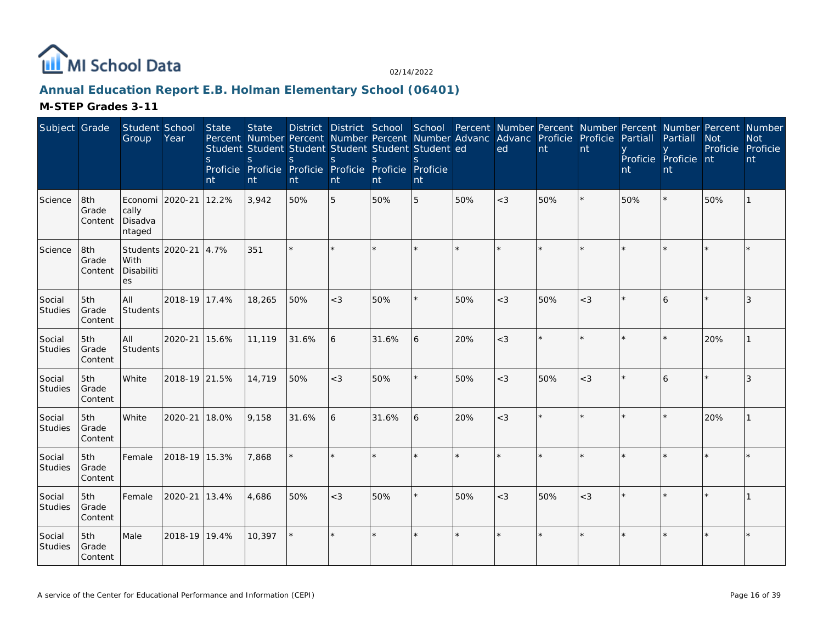

# **Annual Education Report E.B. Holman Elementary School (06401)**

| Subject Grade            |                         | Student School<br>Group                       | Year                  | State<br><sub>S</sub><br>nt | <b>State</b><br>Percent Number Percent Number Percent Number Advanc Advanc Proficie Proficie<br>Student Student Student Student Student Student ed<br>S<br>Proficie Proficie Proficie Proficie Proficie Proficie<br>nt | S.<br>nt | <sub>S</sub><br>nt | District District School School Percent Number Percent Number Percent Number Percent Number<br><sub>S</sub><br>nt | S.<br>nt |         | ed      | nt      | nt      | Partiall<br>nt | Partiall<br>Proficie Proficie nt<br>nt | <b>Not</b><br>Proficie Proficie | <b>Not</b><br>nt |
|--------------------------|-------------------------|-----------------------------------------------|-----------------------|-----------------------------|------------------------------------------------------------------------------------------------------------------------------------------------------------------------------------------------------------------------|----------|--------------------|-------------------------------------------------------------------------------------------------------------------|----------|---------|---------|---------|---------|----------------|----------------------------------------|---------------------------------|------------------|
| Science                  | 8th<br>Grade<br>Content | Economi 2020-21<br>cally<br>Disadva<br>ntaged |                       | 12.2%                       | 3,942                                                                                                                                                                                                                  | 50%      | 5                  | 50%                                                                                                               | 5        | 50%     | $<$ 3   | 50%     |         | 50%            |                                        | 50%                             |                  |
| Science                  | 8th<br>Grade<br>Content | With<br>Disabiliti<br>es                      | Students 2020-21 4.7% |                             | 351                                                                                                                                                                                                                    | $\star$  |                    |                                                                                                                   |          | $\star$ | $\star$ |         |         |                |                                        |                                 |                  |
| Social<br>Studies        | 5th<br>Grade<br>Content | All<br>Students                               | 2018-19 17.4%         |                             | 18,265                                                                                                                                                                                                                 | 50%      | $<$ 3              | 50%                                                                                                               |          | 50%     | $<$ 3   | 50%     | $<$ 3   |                | 6                                      |                                 | 3                |
| Social<br>Studies        | 5th<br>Grade<br>Content | All<br>Students                               | 2020-21               | 15.6%                       | 11,119                                                                                                                                                                                                                 | 31.6%    | 6                  | 31.6%                                                                                                             | 6        | 20%     | $<$ 3   | $\star$ |         |                |                                        | 20%                             |                  |
| Social<br>Studies        | 5th<br>Grade<br>Content | White                                         | 2018-19 21.5%         |                             | 14,719                                                                                                                                                                                                                 | 50%      | $<$ 3              | 50%                                                                                                               |          | 50%     | $<$ 3   | 50%     | $<$ 3   |                | 6                                      |                                 |                  |
| Social<br><b>Studies</b> | 5th<br>Grade<br>Content | White                                         | 2020-21               | 18.0%                       | 9,158                                                                                                                                                                                                                  | 31.6%    | 6                  | 31.6%                                                                                                             | 6        | 20%     | $<$ 3   |         | $\star$ |                |                                        | 20%                             |                  |
| Social<br>Studies        | 5th<br>Grade<br>Content | Female                                        | 2018-19 15.3%         |                             | 7,868                                                                                                                                                                                                                  | $\star$  |                    |                                                                                                                   |          | $\star$ | $\star$ |         |         |                |                                        |                                 |                  |
| Social<br>Studies        | 5th<br>Grade<br>Content | Female                                        | 2020-21               | 13.4%                       | 4,686                                                                                                                                                                                                                  | 50%      | $<$ 3              | 50%                                                                                                               |          | 50%     | $<$ 3   | 50%     | $<$ 3   |                |                                        |                                 |                  |
| Social<br>Studies        | 5th<br>Grade<br>Content | Male                                          | 2018-19 19.4%         |                             | 10,397                                                                                                                                                                                                                 |          |                    |                                                                                                                   |          | $\star$ |         |         |         |                |                                        |                                 |                  |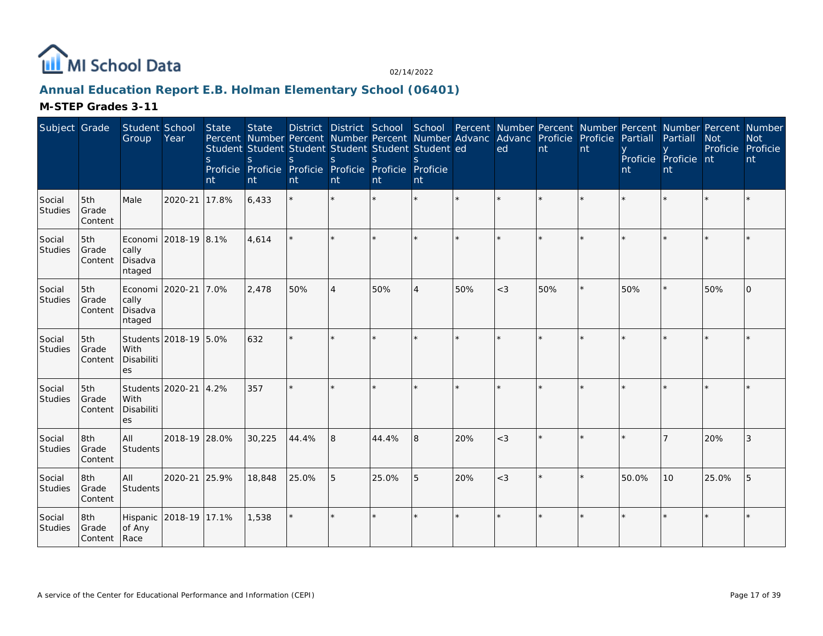

# **Annual Education Report E.B. Holman Elementary School (06401)**

| Subject Grade            |                              | Student School<br>Group                       | Year                  | State<br><sub>S</sub><br>nt | <b>State</b><br>S<br>nt | Percent Number Percent Number Percent Number Advanc Advanc Proficie Proficie<br>Student Student Student Student Student Student ed<br>S<br>Proficie Proficie Proficie Proficie Proficie Proficie<br>nt | $\mathsf{S}$<br>nt | S.<br>nt | $\mathcal{S}$<br>nt |     | District District School School Percent Number Percent Number Percent Number Percent Number<br>ed | nt  | nt | Partiall<br>nt | Partiall<br>Proficie Proficie nt<br>nt | <b>Not</b><br>Proficie | <b>Not</b><br>Proficie<br>nt |
|--------------------------|------------------------------|-----------------------------------------------|-----------------------|-----------------------------|-------------------------|--------------------------------------------------------------------------------------------------------------------------------------------------------------------------------------------------------|--------------------|----------|---------------------|-----|---------------------------------------------------------------------------------------------------|-----|----|----------------|----------------------------------------|------------------------|------------------------------|
| Social<br>Studies        | 5th<br>Grade<br>Content      | Male                                          | 2020-21               | 17.8%                       | 6,433                   | $\star$                                                                                                                                                                                                | $\star$            |          | $\star$             |     |                                                                                                   |     |    |                |                                        |                        |                              |
| Social<br>Studies        | 5th<br>Grade<br>Content      | Economi<br>cally<br>Disadva<br>ntaged         | 2018-19 8.1%          |                             | 4,614                   |                                                                                                                                                                                                        | ×.                 |          | ×.                  |     | $\star$                                                                                           |     |    |                |                                        |                        |                              |
| Social<br>Studies        | 5th<br>Grade<br>Content      | Economi 2020-21<br>cally<br>Disadva<br>ntaged |                       | 7.0%                        | 2,478                   | 50%                                                                                                                                                                                                    | $\overline{4}$     | 50%      | 4                   | 50% | $<$ 3                                                                                             | 50% |    | 50%            |                                        | 50%                    | $\Omega$                     |
| Social<br><b>Studies</b> | 5th<br>Grade<br>Content      | With<br>Disabiliti<br>es                      | Students 2018-19 5.0% |                             | 632                     | ÷.                                                                                                                                                                                                     | ×.                 |          | ×.                  |     | ÷                                                                                                 |     |    |                |                                        |                        |                              |
| Social<br>Studies        | 5th<br>Grade<br>Content      | Students 2020-21<br>With<br>Disabiliti<br>es  |                       | 4.2%                        | 357                     |                                                                                                                                                                                                        |                    |          |                     |     |                                                                                                   |     |    |                |                                        |                        |                              |
| Social<br><b>Studies</b> | 8th<br>Grade<br>Content      | All<br>Students                               | 2018-19 28.0%         |                             | 30,225                  | 44.4%                                                                                                                                                                                                  | 8                  | 44.4%    | 8                   | 20% | $<$ 3                                                                                             |     |    |                |                                        | 20%                    | 3                            |
| Social<br>Studies        | 8th<br>Grade<br>Content      | All<br>Students                               | 2020-21               | 25.9%                       | 18,848                  | 25.0%                                                                                                                                                                                                  | 5                  | 25.0%    | 5                   | 20% | $<$ 3                                                                                             |     |    | 50.0%          | 10                                     | 25.0%                  | 5                            |
| Social<br><b>Studies</b> | 8th<br>Grade<br>Content Race | Hispanic<br>of Any                            | 2018-19 17.1%         |                             | 1,538                   | $\star$                                                                                                                                                                                                | $\star$            |          | $\star$             |     | $\star$                                                                                           |     |    |                |                                        |                        |                              |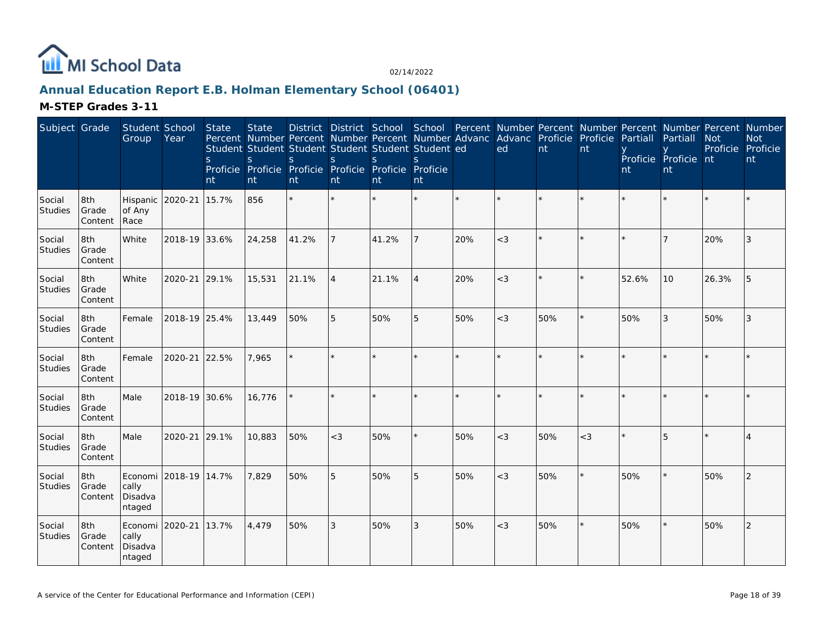

# **Annual Education Report E.B. Holman Elementary School (06401)**

| Subject Grade            |                         | Student School<br>Group               | Year          | State<br><sub>S</sub><br>nt | <b>State</b><br>Percent Number Percent Number Percent Number Advanc<br>Student Student Student Student Student Student ed<br>S<br>Proficie Proficie Proficie Proficie Proficie Proficie<br>nt | S.<br>nt | S<br>nt        | <sub>S</sub><br>nt | S.<br>nt       |     | District District School School Percent Number Percent Number Percent Number Percent Number<br>Advanc Proficie<br>ed | nt      | Proficie<br>nt | Partiall<br>nt | Partiall<br>Proficie Proficie nt<br><b>nt</b> | <b>Not</b> | <b>Not</b><br>Proficie Proficie<br>nt |
|--------------------------|-------------------------|---------------------------------------|---------------|-----------------------------|-----------------------------------------------------------------------------------------------------------------------------------------------------------------------------------------------|----------|----------------|--------------------|----------------|-----|----------------------------------------------------------------------------------------------------------------------|---------|----------------|----------------|-----------------------------------------------|------------|---------------------------------------|
| Social<br><b>Studies</b> | 8th<br>Grade<br>Content | Hispanic<br>of Any<br>Race            | 2020-21       | 15.7%                       | 856                                                                                                                                                                                           | $\star$  |                |                    |                |     |                                                                                                                      |         | $\star$        |                |                                               |            |                                       |
| Social<br><b>Studies</b> | 8th<br>Grade<br>Content | White                                 | 2018-19 33.6% |                             | 24,258                                                                                                                                                                                        | 41.2%    |                | 41.2%              |                | 20% | $<$ 3                                                                                                                | $\star$ | $\star$        |                |                                               | 20%        | 3                                     |
| Social<br>Studies        | 8th<br>Grade<br>Content | White                                 | 2020-21       | 29.1%                       | 15,531                                                                                                                                                                                        | 21.1%    | $\overline{4}$ | 21.1%              | $\overline{4}$ | 20% | $<$ 3                                                                                                                | $\star$ | $\star$        | 52.6%          | 10                                            | 26.3%      | 5                                     |
| Social<br>Studies        | 8th<br>Grade<br>Content | Female                                | 2018-19 25.4% |                             | 13,449                                                                                                                                                                                        | 50%      | 5              | 50%                | 5              | 50% | $<$ 3                                                                                                                | 50%     | $\star$        | 50%            | 3                                             | 50%        | 3                                     |
| Social<br><b>Studies</b> | 8th<br>Grade<br>Content | Female                                | 2020-21       | 22.5%                       | 7,965                                                                                                                                                                                         |          |                |                    |                |     |                                                                                                                      | $\star$ |                |                |                                               |            |                                       |
| Social<br>Studies        | 8th<br>Grade<br>Content | Male                                  | 2018-19 30.6% |                             | 16,776                                                                                                                                                                                        |          |                |                    |                |     |                                                                                                                      | ×.      | $\star$        |                |                                               |            |                                       |
| Social<br><b>Studies</b> | 8th<br>Grade<br>Content | Male                                  | 2020-21       | 29.1%                       | 10,883                                                                                                                                                                                        | 50%      | $<$ 3          | 50%                |                | 50% | $<$ 3                                                                                                                | 50%     | $<$ 3          |                | 5                                             |            |                                       |
| Social<br><b>Studies</b> | 8th<br>Grade<br>Content | Economi<br>cally<br>Disadva<br>ntaged | 2018-19 14.7% |                             | 7,829                                                                                                                                                                                         | 50%      | 5              | 50%                | 5              | 50% | $<$ 3                                                                                                                | 50%     | $\star$        | 50%            |                                               | 50%        | $\overline{2}$                        |
| Social<br>Studies        | 8th<br>Grade<br>Content | Economi<br>cally<br>Disadva<br>ntaged | 2020-21       | 13.7%                       | 4,479                                                                                                                                                                                         | 50%      | 3              | 50%                | 3              | 50% | $<$ 3                                                                                                                | 50%     | $\star$        | 50%            |                                               | 50%        | $\overline{2}$                        |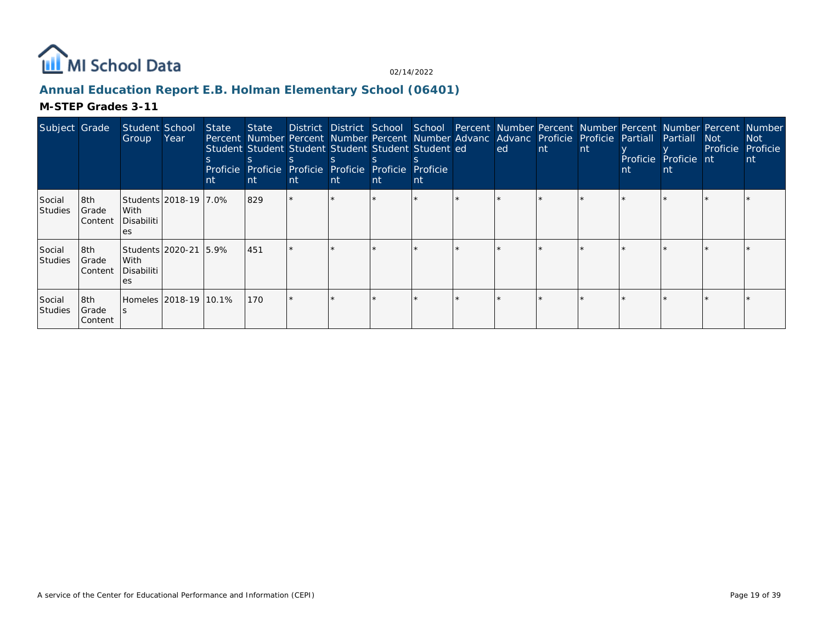

# **Annual Education Report E.B. Holman Elementary School (06401)**

| Subject Grade      |                            | Student School<br>Group                            | Year | State<br>nt | Percent Number Percent Number Percent Number Advanc Advanc Proficie Proficie Partiall<br>Student Student Student Student Student Student ed<br>Proficie Proficie Proficie Proficie Proficie Proficie<br>l nt | <b>nt</b> | nt. | nt. | nt | ed | -nt | nt | Proficie Proficie nt<br>nt | Partiall<br>nt | Not .<br>Proficie <sup>'</sup> | State District District School School Percent Number Percent Number Percent Number Percent Number<br>Not :<br>Proficie<br>nt |
|--------------------|----------------------------|----------------------------------------------------|------|-------------|--------------------------------------------------------------------------------------------------------------------------------------------------------------------------------------------------------------|-----------|-----|-----|----|----|-----|----|----------------------------|----------------|--------------------------------|------------------------------------------------------------------------------------------------------------------------------|
| Social<br>Studies  | l8th<br>Grade<br> Content  | Students 2018-19 7.0%<br>With<br>Disabiliti<br>es  |      |             | 829                                                                                                                                                                                                          |           |     |     |    |    |     |    |                            |                |                                |                                                                                                                              |
| Social<br> Studies | l8th.<br>Grade<br> Content | Students 2020-21 5.9%<br>With<br>Disabiliti<br>es. |      |             | 451                                                                                                                                                                                                          |           |     |     |    |    |     |    |                            |                |                                |                                                                                                                              |
| Social<br>Studies  | l8th.<br>Grade<br>Content  | Homeles 12018-19 110.1%                            |      |             | 170                                                                                                                                                                                                          |           |     |     |    |    |     |    |                            |                |                                |                                                                                                                              |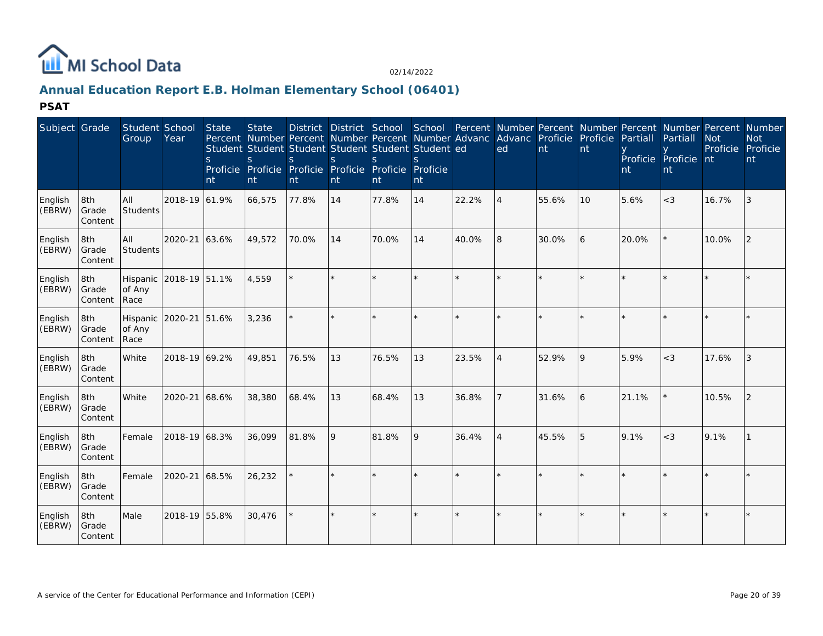

# **Annual Education Report E.B. Holman Elementary School (06401)**

| Subject Grade     |                         | Student School<br>Group    | Year                   | State<br><sub>S</sub><br>nt | <b>State</b><br><sub>S</sub><br>Proficie Proficie<br>nt | $\varsigma$<br>nt | $\mathcal{S}$<br>nt | Student Student Student Student Student Student ed<br>$\mathcal{S}$<br>Proficie Proficie Proficie Proficie<br>nt | nt |       | District District School School Percent Number Percent Number Percent Number Percent Number<br>Percent Number Percent Number Percent Number Advanc Advanc Proficie Proficie<br>ed | nt    | nt | Partiall<br>nt | Partiall<br>Proficie Proficie nt<br>nt | <b>Not</b><br>Proficie Proficie | <b>Not</b><br>nt |
|-------------------|-------------------------|----------------------------|------------------------|-----------------------------|---------------------------------------------------------|-------------------|---------------------|------------------------------------------------------------------------------------------------------------------|----|-------|-----------------------------------------------------------------------------------------------------------------------------------------------------------------------------------|-------|----|----------------|----------------------------------------|---------------------------------|------------------|
| English<br>(EBRW) | 8th<br>Grade<br>Content | All<br>Students            | 2018-19 61.9%          |                             | 66,575                                                  | 77.8%             | 14                  | 77.8%                                                                                                            | 14 | 22.2% | $\overline{4}$                                                                                                                                                                    | 55.6% | 10 | 5.6%           | $<$ 3                                  | 16.7%                           | 3                |
| English<br>(EBRW) | 8th<br>Grade<br>Content | All<br>Students            | 2020-21 63.6%          |                             | 49,572                                                  | 70.0%             | 14                  | 70.0%                                                                                                            | 14 | 40.0% | 8                                                                                                                                                                                 | 30.0% | 6  | 20.0%          |                                        | 10.0%                           | 2                |
| English<br>(EBRW) | 8th<br>Grade<br>Content | of Any<br>Race             | Hispanic 2018-19 51.1% |                             | 4,559                                                   |                   | $\star$             |                                                                                                                  |    |       |                                                                                                                                                                                   |       |    |                |                                        |                                 |                  |
| English<br>(EBRW) | 8th<br>Grade<br>Content | Hispanic<br>of Any<br>Race | 2020-21 51.6%          |                             | 3,236                                                   |                   | $\star$             |                                                                                                                  |    |       |                                                                                                                                                                                   |       |    |                |                                        |                                 |                  |
| English<br>(EBRW) | 8th<br>Grade<br>Content | White                      | 2018-19 69.2%          |                             | 49,851                                                  | 76.5%             | 13                  | 76.5%                                                                                                            | 13 | 23.5% | $\overline{4}$                                                                                                                                                                    | 52.9% | 9  | 5.9%           | $<$ 3                                  | 17.6%                           | 3                |
| English<br>(EBRW) | 8th<br>Grade<br>Content | White                      | 2020-21 68.6%          |                             | 38,380                                                  | 68.4%             | 13                  | 68.4%                                                                                                            | 13 | 36.8% |                                                                                                                                                                                   | 31.6% | 6  | 21.1%          |                                        | 10.5%                           | 2                |
| English<br>(EBRW) | 8th<br>Grade<br>Content | Female                     | 2018-19 68.3%          |                             | 36,099                                                  | 81.8%             | 9                   | 81.8%                                                                                                            | 9  | 36.4% | $\overline{4}$                                                                                                                                                                    | 45.5% | 5  | 9.1%           | $<$ 3                                  | 9.1%                            |                  |
| English<br>(EBRW) | 8th<br>Grade<br>Content | Female                     | 2020-21 68.5%          |                             | 26,232                                                  |                   |                     |                                                                                                                  |    |       |                                                                                                                                                                                   |       |    |                |                                        |                                 |                  |
| English<br>(EBRW) | 8th<br>Grade<br>Content | Male                       | 2018-19 55.8%          |                             | 30,476                                                  |                   | $\star$             | $\star$                                                                                                          |    |       |                                                                                                                                                                                   |       |    |                |                                        |                                 |                  |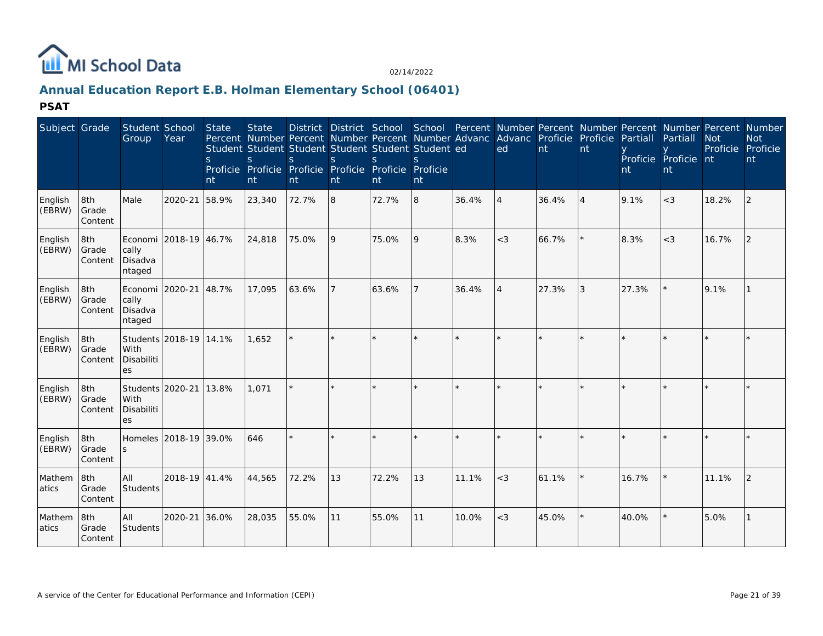

# **Annual Education Report E.B. Holman Elementary School (06401)**

| Subject Grade     |                         | Student School<br>Group               | Year                   | State<br><sub>S</sub><br>nt | <b>State</b><br><sub>S</sub><br>Proficie Proficie<br>nt | S<br>nt | S<br>nt | District District School School Percent Number Percent Number Percent Number Percent Number<br>Percent Number Percent Number Percent Number Advanc Advanc Proficie Proficie Partiall<br>Student Student Student Student Student Student ed<br>S<br>Proficie Proficie Proficie<br>nt | Proficie<br>nt |         | ed                          | nt      | nt             | nt    | Partiall<br>Proficie Proficie nt<br>nt | <b>Not</b><br>Proficie Proficie | <b>Not</b><br>nt |
|-------------------|-------------------------|---------------------------------------|------------------------|-----------------------------|---------------------------------------------------------|---------|---------|-------------------------------------------------------------------------------------------------------------------------------------------------------------------------------------------------------------------------------------------------------------------------------------|----------------|---------|-----------------------------|---------|----------------|-------|----------------------------------------|---------------------------------|------------------|
| English<br>(EBRW) | 8th<br>Grade<br>Content | Male                                  | 2020-21                | 58.9%                       | 23,340                                                  | 72.7%   | 8       | 72.7%                                                                                                                                                                                                                                                                               | 8              | 36.4%   | $\overline{4}$              | 36.4%   | $\overline{4}$ | 9.1%  | $<$ 3                                  | 18.2%                           | 2                |
| English<br>(EBRW) | 8th<br>Grade<br>Content | cally<br>Disadva<br>ntaged            | Economi 2018-19 46.7%  |                             | 24,818                                                  | 75.0%   | 9       | 75.0%                                                                                                                                                                                                                                                                               | 9              | 8.3%    | $<$ 3                       | 66.7%   | $\star$        | 8.3%  | $<$ 3                                  | 16.7%                           | 2                |
| English<br>(EBRW) | 8th<br>Grade<br>Content | Economi<br>cally<br>Disadva<br>ntaged | 2020-21                | 48.7%                       | 17,095                                                  | 63.6%   |         | 63.6%                                                                                                                                                                                                                                                                               |                | 36.4%   | $\boldsymbol{\vartriangle}$ | 27.3%   | 3              | 27.3% |                                        | 9.1%                            |                  |
| English<br>(EBRW) | 8th<br>Grade<br>Content | With<br>Disabiliti<br>es              | Students 2018-19 14.1% |                             | 1.652                                                   |         | $\star$ |                                                                                                                                                                                                                                                                                     | $\star$        | $\star$ | $\star$                     | $\star$ | $\star$        |       |                                        |                                 |                  |
| English<br>(EBRW) | 8th<br>Grade<br>Content | With<br>Disabiliti<br>es              | Students 2020-21 13.8% |                             | 1,071                                                   |         |         |                                                                                                                                                                                                                                                                                     |                |         |                             |         |                |       |                                        |                                 |                  |
| English<br>(EBRW) | 8th<br>Grade<br>Content | S                                     | Homeles 2018-19 39.0%  |                             | 646                                                     |         |         |                                                                                                                                                                                                                                                                                     |                |         |                             | $\star$ | $\star$        |       |                                        |                                 |                  |
| Mathem<br>atics   | 8th<br>Grade<br>Content | All<br><b>Students</b>                | 2018-19 41.4%          |                             | 44,565                                                  | 72.2%   | 13      | 72.2%                                                                                                                                                                                                                                                                               | 13             | 11.1%   | $<$ 3                       | 61.1%   |                | 16.7% |                                        | 11.1%                           | 2                |
| Mathem<br>atics   | 8th<br>Grade<br>Content | All<br>Students                       | 2020-21                | 36.0%                       | 28,035                                                  | 55.0%   | 11      | 55.0%                                                                                                                                                                                                                                                                               | 11             | 10.0%   | $<$ 3                       | 45.0%   |                | 40.0% |                                        | 5.0%                            |                  |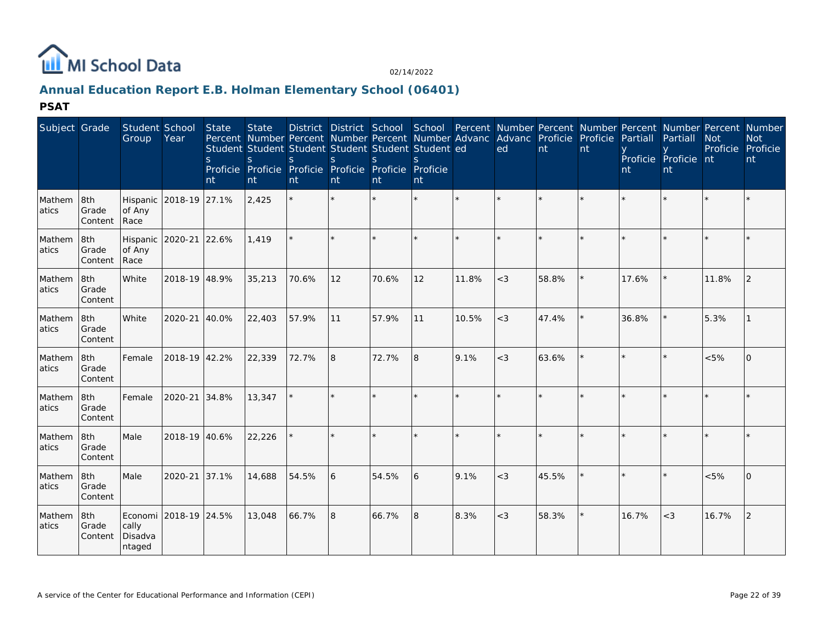

# **Annual Education Report E.B. Holman Elementary School (06401)**

| Subject Grade   |                         | Student School<br>Group    | Year                  | <b>State</b><br><sub>S</sub><br>nt | <b>State</b><br>S<br>nt | S<br>nt | <sup>S</sup><br>nt | Student Student Student Student Student Student ed<br><sub>S</sub><br>Proficie Proficie Proficie Proficie Proficie Proficie<br>nt | nt      |         | Percent Number Percent Number Percent Number Advanc Advanc Proficie Proficie<br>ed | nt      | nt      | Partiall<br>nt | Partiall<br>Proficie Proficie nt<br>nt | <b>Not</b> | District District School School Percent Number Percent Number Percent Number Percent Number<br><b>Not</b><br>Proficie Proficie<br>nt |
|-----------------|-------------------------|----------------------------|-----------------------|------------------------------------|-------------------------|---------|--------------------|-----------------------------------------------------------------------------------------------------------------------------------|---------|---------|------------------------------------------------------------------------------------|---------|---------|----------------|----------------------------------------|------------|--------------------------------------------------------------------------------------------------------------------------------------|
| Mathem<br>atics | 8th<br>Grade<br>Content | Hispanic<br>of Any<br>Race | 2018-19 27.1%         |                                    | 2,425                   |         |                    |                                                                                                                                   | $\star$ | $\star$ |                                                                                    | $\star$ | $\star$ |                |                                        |            |                                                                                                                                      |
| Mathem<br>atics | 8th<br>Grade<br>Content | Hispanic<br>of Any<br>Race | 2020-21 22.6%         |                                    | 1,419                   |         |                    | $\star$                                                                                                                           | $\star$ | $\star$ | $\star$                                                                            | $\star$ | $\star$ |                |                                        |            |                                                                                                                                      |
| Mathem<br>atics | 8th<br>Grade<br>Content | White                      | 2018-19 48.9%         |                                    | 35,213                  | 70.6%   | 12                 | 70.6%                                                                                                                             | 12      | 11.8%   | $<$ 3                                                                              | 58.8%   |         | 17.6%          |                                        | 11.8%      | 2                                                                                                                                    |
| Mathem<br>atics | 8th<br>Grade<br>Content | White                      | $2020 - 21$           | 40.0%                              | 22,403                  | 57.9%   | 11                 | 57.9%                                                                                                                             | 11      | 10.5%   | $<$ 3                                                                              | 47.4%   |         | 36.8%          |                                        | 5.3%       |                                                                                                                                      |
| Mathem<br>atics | 8th<br>Grade<br>Content | Female                     | 2018-19 42.2%         |                                    | 22,339                  | 72.7%   | 8                  | 72.7%                                                                                                                             | 8       | 9.1%    | $<$ 3                                                                              | 63.6%   |         |                |                                        | < 5%       | $\Omega$                                                                                                                             |
| Mathem<br>atics | 8th<br>Grade<br>Content | Female                     | 2020-21 34.8%         |                                    | 13,347                  |         |                    | $\star$                                                                                                                           | $\star$ | $\star$ | $\star$                                                                            | $\star$ | $\star$ |                |                                        |            |                                                                                                                                      |
| Mathem<br>atics | 8th<br>Grade<br>Content | Male                       | 2018-19 40.6%         |                                    | 22,226                  |         |                    | $\star$                                                                                                                           | $\star$ | $\star$ | $\star$                                                                            | $\star$ |         |                |                                        |            |                                                                                                                                      |
| Mathem<br>atics | 8th<br>Grade<br>Content | Male                       | 2020-21 37.1%         |                                    | 14,688                  | 54.5%   | 6                  | 54.5%                                                                                                                             | l 6     | 9.1%    | $<$ 3                                                                              | 45.5%   |         |                |                                        | < 5%       | $\overline{0}$                                                                                                                       |
| Mathem<br>atics | 8th<br>Grade<br>Content | cally<br>Disadva<br>ntaged | Economi 2018-19 24.5% |                                    | 13,048                  | 66.7%   | 8                  | 66.7%                                                                                                                             | 8       | 8.3%    | $<$ 3                                                                              | 58.3%   |         | 16.7%          | $<$ 3                                  | 16.7%      | 2                                                                                                                                    |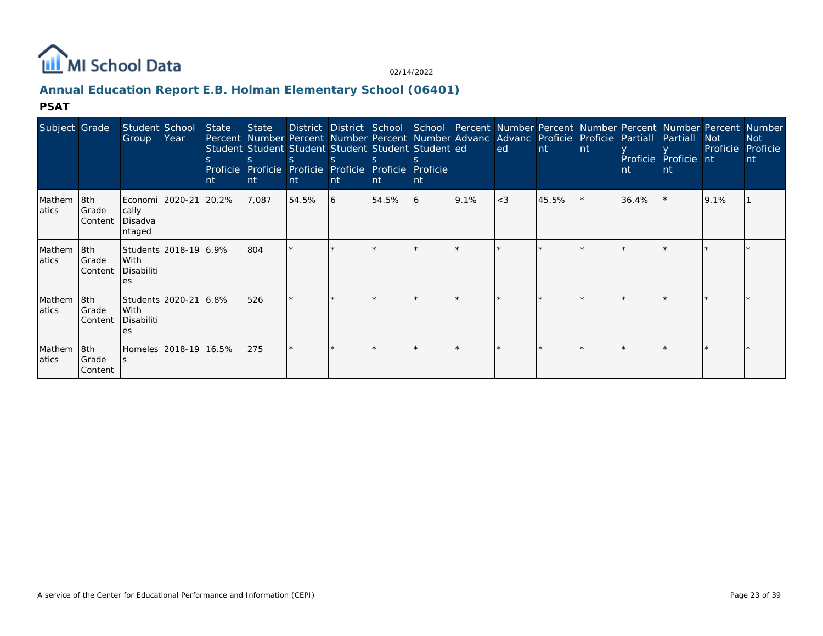

# **Annual Education Report E.B. Holman Elementary School (06401)**

| Subject Grade    |                           | Student School<br>Group                           | Year | <b>State</b><br>nt | State<br>S.<br>Proficie Proficie<br>nt | District District School School Percent Number Percent Number Percent Number Percent Number<br>Percent Number Percent Number Percent Number Advanc Advanc Proficie Proficie Partiall<br>Student Student Student Student Student Student ed<br>Proficie Proficie<br>nt | nt | Proficie<br><b>nt</b> | Proficie<br>nt |      | ed    | Int   | nt | nt    | Partiall<br>Proficie Proficie nt<br>nt | <b>Not</b><br>Proficie | <b>Not</b><br>Proficie<br>nt |
|------------------|---------------------------|---------------------------------------------------|------|--------------------|----------------------------------------|-----------------------------------------------------------------------------------------------------------------------------------------------------------------------------------------------------------------------------------------------------------------------|----|-----------------------|----------------|------|-------|-------|----|-------|----------------------------------------|------------------------|------------------------------|
| Mathem<br>atics  | 8th<br>Grade<br>Content   | Economi   2020-21<br>cally<br>Disadva<br>ntaged   |      | 20.2%              | 7,087                                  | 54.5%                                                                                                                                                                                                                                                                 | 16 | 54.5%                 | 16             | 9.1% | $<$ 3 | 45.5% |    | 36.4% |                                        | 9.1%                   |                              |
| Mathem<br>latics | 18th<br>Grade<br> Content | Students 2018-19 6.9%<br>With<br>Disabiliti<br>es |      |                    | 804                                    |                                                                                                                                                                                                                                                                       |    |                       |                |      |       |       |    |       |                                        |                        |                              |
| Mathem<br>atics  | 8th<br>Grade<br>Content   | Students 2020-21<br>With<br>Disabiliti<br>es      |      | 16.8%              | 526                                    |                                                                                                                                                                                                                                                                       |    |                       |                |      |       |       |    |       |                                        |                        |                              |
| Mathem<br>atics  | 8th<br>Grade<br>Content   | Homeles 2018-19 16.5%                             |      |                    | 275                                    |                                                                                                                                                                                                                                                                       |    |                       |                |      |       |       |    |       |                                        |                        |                              |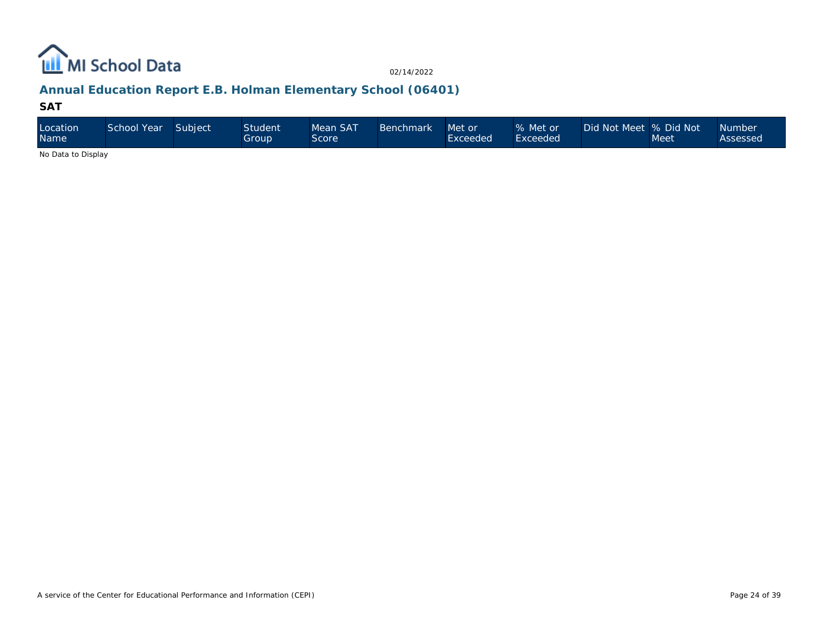

# **Annual Education Report E.B. Holman Elementary School (06401)**

#### **SAT**

| Location<br><b>Name</b>                                                                                | School Year | Subject | Student<br>Group | Mean SAT<br>Score | <b>Benchmark</b> | Met or<br>Exceeded | % Met or<br>Exceeded | Did Not Meet  % Did Not | Meet | <b>Number</b><br>Assessed |
|--------------------------------------------------------------------------------------------------------|-------------|---------|------------------|-------------------|------------------|--------------------|----------------------|-------------------------|------|---------------------------|
| $\mathbf{A}$ . $\mathbf{B}$ . $\mathbf{A}$ . $\mathbf{B}$ . $\mathbf{B}$ . $\mathbf{A}$ . $\mathbf{B}$ |             |         |                  |                   |                  |                    |                      |                         |      |                           |

No Data to Display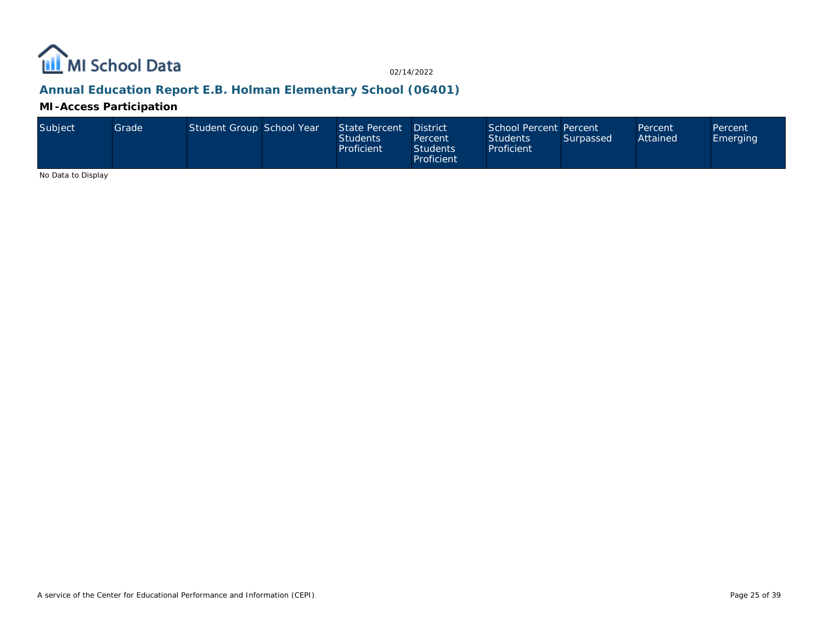

# **Annual Education Report E.B. Holman Elementary School (06401)**

**MI-Access Participation**

| Subiect | Grade I | Student Group School Year |  | State Percent<br><b>Students</b><br>Proficient | <b>District</b><br>Percent<br><b>Students</b><br>Proficient | School Percent Percent<br><b>Students</b><br>Proficient | Surpassed | Percent<br>Attained | Percent<br>Emerging |
|---------|---------|---------------------------|--|------------------------------------------------|-------------------------------------------------------------|---------------------------------------------------------|-----------|---------------------|---------------------|
|---------|---------|---------------------------|--|------------------------------------------------|-------------------------------------------------------------|---------------------------------------------------------|-----------|---------------------|---------------------|

No Data to Display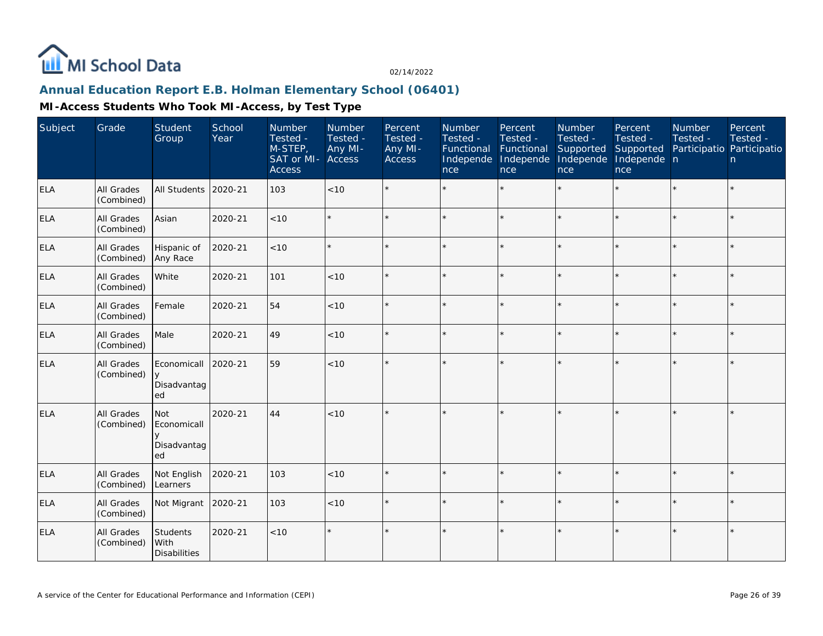

## **Annual Education Report E.B. Holman Elementary School (06401)**

| Subject    | Grade                           | Student<br>Group                               | School<br>Year | Number<br>Tested -<br>M-STEP,<br>SAT or MI- Access<br><b>Access</b> | Number<br>Tested -<br>Any MI- | Percent<br>Tested -<br>Any MI-<br>Access | Number<br>Tested -<br>Functional<br>Independe<br>nce | Percent<br>Tested -<br>Functional<br>Independe<br>nce | Number<br>Tested -<br>Supported<br>Independe<br>nce | Percent<br>Tested -<br>Supported<br>Independe n<br>nce | Number<br>Tested -<br>Participatio Participatio | Percent<br>Tested -<br>n |
|------------|---------------------------------|------------------------------------------------|----------------|---------------------------------------------------------------------|-------------------------------|------------------------------------------|------------------------------------------------------|-------------------------------------------------------|-----------------------------------------------------|--------------------------------------------------------|-------------------------------------------------|--------------------------|
| <b>ELA</b> | <b>All Grades</b><br>(Combined) | All Students                                   | 2020-21        | 103                                                                 | < 10                          |                                          |                                                      | $\star$                                               | ÷                                                   |                                                        |                                                 | $\star$                  |
| <b>ELA</b> | All Grades<br>(Combined)        | Asian                                          | 2020-21        | $<10$                                                               |                               |                                          |                                                      | $\star$                                               | $\star$                                             | ×.                                                     |                                                 | $\star$                  |
| <b>ELA</b> | All Grades<br>(Combined)        | Hispanic of<br>Any Race                        | 2020-21        | <10                                                                 | $\star$                       | $\star$                                  | $\star$                                              | $\star$                                               | $\star$                                             | ×.                                                     | $\star$                                         | $\star$                  |
| <b>ELA</b> | All Grades<br>(Combined)        | White                                          | 2020-21        | 101                                                                 | < 10                          | $\star$                                  |                                                      | $\star$                                               |                                                     |                                                        |                                                 | $\star$                  |
| <b>ELA</b> | All Grades<br>(Combined)        | Female                                         | 2020-21        | 54                                                                  | < 10                          | $\star$                                  |                                                      | $\star$                                               |                                                     |                                                        |                                                 | $\star$                  |
| <b>ELA</b> | <b>All Grades</b><br>(Combined) | Male                                           | 2020-21        | 49                                                                  | $<10$                         | $\star$                                  |                                                      | $\star$                                               |                                                     |                                                        |                                                 | $\star$                  |
| <b>ELA</b> | All Grades<br>(Combined)        | Economicall<br>y<br>Disadvantag<br>ed          | 2020-21        | 59                                                                  | < 10                          |                                          |                                                      | $\star$                                               |                                                     |                                                        |                                                 | $\star$                  |
| ELA        | All Grades<br>(Combined)        | <b>Not</b><br>Economicall<br>Disadvantag<br>ed | 2020-21        | 44                                                                  | <10                           | $\star$                                  |                                                      | $\star$                                               |                                                     |                                                        |                                                 | $\star$                  |
| <b>ELA</b> | All Grades<br>(Combined)        | Not English<br>Learners                        | 2020-21        | 103                                                                 | < 10                          | $\star$                                  |                                                      | $\star$                                               |                                                     |                                                        |                                                 | $\star$                  |
| <b>ELA</b> | <b>All Grades</b><br>(Combined) | Not Migrant                                    | 2020-21        | 103                                                                 | < 10                          |                                          |                                                      | $\star$                                               |                                                     |                                                        |                                                 | $\star$                  |
| <b>ELA</b> | All Grades<br>(Combined)        | <b>Students</b><br>With<br><b>Disabilities</b> | 2020-21        | < 10                                                                |                               | $\star$                                  |                                                      | $\star$                                               |                                                     |                                                        |                                                 | $\star$                  |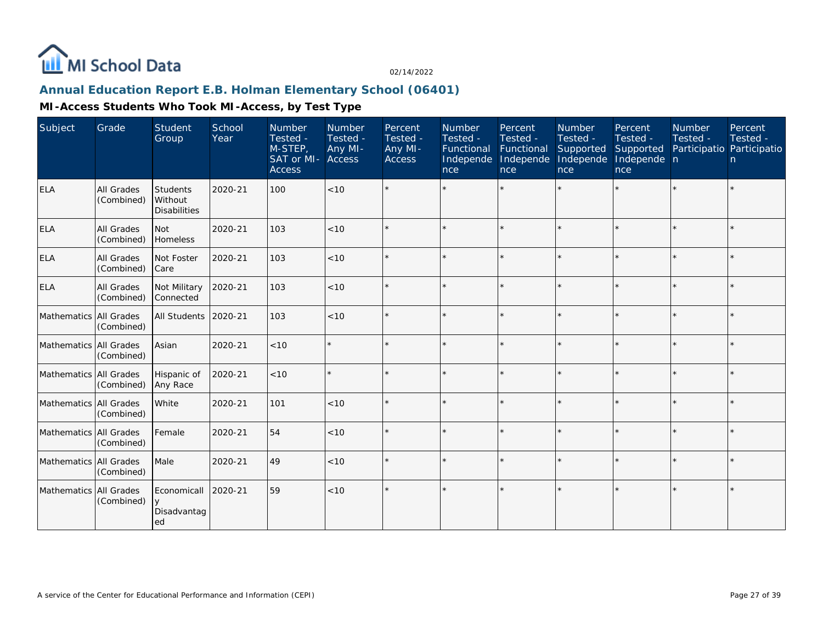

## **Annual Education Report E.B. Holman Elementary School (06401)**

| Subject                | Grade                    | <b>Student</b><br>Group                    | School<br>Year | Number<br>Tested -<br>M-STEP,<br>SAT or MI- Access<br><b>Access</b> | Number<br>Tested -<br>Any MI- | Percent<br>Tested -<br>Any MI-<br><b>Access</b> | Number<br>Tested -<br>Functional<br>Independe<br>nce | Percent<br>Tested -<br>Functional<br>Independe<br>nce | Number<br>Tested -<br>Supported<br>Independe<br>nce | Percent<br>Tested -<br>Supported<br>Independe n<br>nce | Number<br>Tested - | Percent<br>Tested -<br>Participatio Participatio<br>n |
|------------------------|--------------------------|--------------------------------------------|----------------|---------------------------------------------------------------------|-------------------------------|-------------------------------------------------|------------------------------------------------------|-------------------------------------------------------|-----------------------------------------------------|--------------------------------------------------------|--------------------|-------------------------------------------------------|
| <b>ELA</b>             | All Grades<br>(Combined) | Students<br>Without<br><b>Disabilities</b> | 2020-21        | 100                                                                 | < 10                          |                                                 |                                                      | $\star$                                               |                                                     | $\star$                                                | $\star$            | $\star$                                               |
| <b>ELA</b>             | All Grades<br>(Combined) | Not<br>Homeless                            | 2020-21        | 103                                                                 | < 10                          |                                                 |                                                      | ×                                                     |                                                     | ×.                                                     |                    | $\star$                                               |
| <b>ELA</b>             | All Grades<br>(Combined) | Not Foster<br>Care                         | 2020-21        | 103                                                                 | < 10                          | $\star$                                         |                                                      | $\star$                                               |                                                     | $\star$                                                | $\star$            | $\star$                                               |
| <b>ELA</b>             | All Grades<br>(Combined) | Not Military<br>Connected                  | 2020-21        | 103                                                                 | < 10                          | $\star$                                         |                                                      | ×                                                     |                                                     | $\star$                                                | $\star$            | $\star$                                               |
| Mathematics All Grades | (Combined)               | All Students                               | 2020-21        | 103                                                                 | < 10                          | ÷                                               |                                                      | $\star$                                               | $\star$                                             | $\star$                                                | $\star$            | $\star$                                               |
| Mathematics All Grades | (Combined)               | Asian                                      | 2020-21        | $<10$                                                               |                               | ÷                                               |                                                      | $\star$                                               |                                                     | $\star$                                                | $\star$            | $\star$                                               |
| Mathematics All Grades | (Combined)               | Hispanic of<br>Any Race                    | 2020-21        | < 10                                                                | $\star$                       | ÷.                                              |                                                      | $\star$                                               | $\star$                                             | $\star$                                                | $\star$            | $\star$                                               |
| Mathematics All Grades | (Combined)               | White                                      | 2020-21        | 101                                                                 | < 10                          |                                                 |                                                      | $\star$                                               | $\star$                                             | $\star$                                                | $\star$            | $\star$                                               |
| Mathematics All Grades | (Combined)               | Female                                     | 2020-21        | 54                                                                  | < 10                          |                                                 |                                                      | ×                                                     |                                                     | ×.                                                     | $\star$            | $\star$                                               |
| Mathematics All Grades | (Combined)               | Male                                       | 2020-21        | 49                                                                  | < 10                          | $\star$                                         |                                                      | $\star$                                               | $\star$                                             | $\star$                                                | $\star$            | $\star$                                               |
| Mathematics All Grades | (Combined)               | Economicall<br>Disadvantag<br>ed           | 2020-21        | 59                                                                  | < 10                          |                                                 |                                                      | ×                                                     |                                                     | $\star$                                                |                    | $\star$                                               |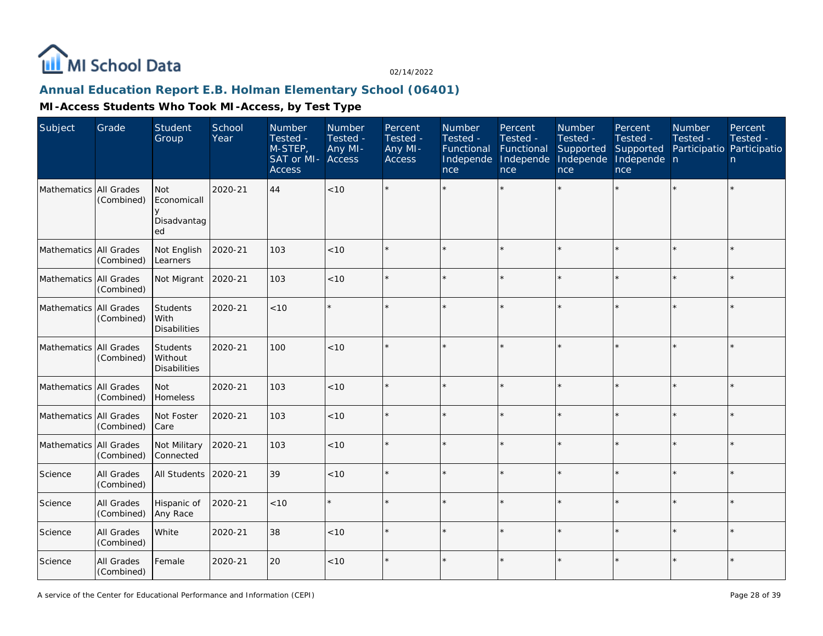

## **Annual Education Report E.B. Holman Elementary School (06401)**

| Subject                | Grade                    | <b>Student</b><br>Group                           | School<br>Year | Number<br>Tested -<br>M-STEP,<br>SAT or MI-<br><b>Access</b> | Number<br>Tested -<br>Any MI-<br>Access | Percent<br>Tested -<br>Any MI-<br>Access | Number<br>Tested -<br>Functional<br>Independe<br>nce | Percent<br>Tested -<br>Functional<br>Independe<br>nce | Number<br>Tested -<br>Supported<br>Independe<br>nce | Percent<br>Tested -<br>Supported<br>Independe n<br>nce | Number<br>Tested -<br>Participatio Participatio | Percent<br>Tested -<br>n. |
|------------------------|--------------------------|---------------------------------------------------|----------------|--------------------------------------------------------------|-----------------------------------------|------------------------------------------|------------------------------------------------------|-------------------------------------------------------|-----------------------------------------------------|--------------------------------------------------------|-------------------------------------------------|---------------------------|
| Mathematics All Grades | (Combined)               | Not<br>Economicall<br>V<br>Disadvantag<br>ed      | 2020-21        | 44                                                           | <10                                     |                                          |                                                      |                                                       |                                                     |                                                        |                                                 | $\star$                   |
| Mathematics All Grades | (Combined)               | Not English<br>Learners                           | 2020-21        | 103                                                          | < 10                                    |                                          |                                                      |                                                       |                                                     |                                                        |                                                 | $\star$                   |
| Mathematics All Grades | (Combined)               | Not Migrant                                       | 2020-21        | 103                                                          | $<10$                                   |                                          |                                                      |                                                       |                                                     |                                                        |                                                 | $\star$                   |
| Mathematics All Grades | (Combined)               | Students<br>l With<br><b>Disabilities</b>         | 2020-21        | < 10                                                         |                                         |                                          |                                                      |                                                       |                                                     |                                                        |                                                 | $\star$                   |
| Mathematics All Grades | (Combined)               | <b>Students</b><br>Without<br><b>Disabilities</b> | 2020-21        | 100                                                          | < 10                                    |                                          |                                                      |                                                       |                                                     |                                                        |                                                 | $\star$                   |
| Mathematics All Grades | (Combined)               | Not<br>Homeless                                   | 2020-21        | 103                                                          | <10                                     |                                          |                                                      |                                                       |                                                     |                                                        |                                                 | $\star$                   |
| Mathematics All Grades | (Combined)               | Not Foster<br>Care                                | 2020-21        | 103                                                          | < 10                                    |                                          |                                                      |                                                       |                                                     |                                                        |                                                 | $\star$                   |
| Mathematics All Grades | (Combined)               | Not Military<br>Connected                         | 2020-21        | 103                                                          | < 10                                    |                                          |                                                      |                                                       |                                                     |                                                        |                                                 | $\star$                   |
| Science                | All Grades<br>(Combined) | All Students                                      | 2020-21        | 39                                                           | < 10                                    |                                          |                                                      |                                                       |                                                     |                                                        |                                                 | $\star$                   |
| Science                | All Grades<br>(Combined) | Hispanic of<br>Any Race                           | 2020-21        | $<10$                                                        |                                         |                                          |                                                      |                                                       |                                                     |                                                        |                                                 | $\star$                   |
| Science                | All Grades<br>(Combined) | White                                             | 2020-21        | 38                                                           | $<10$                                   |                                          |                                                      |                                                       |                                                     |                                                        |                                                 | $\star$                   |
| Science                | All Grades<br>(Combined) | Female                                            | 2020-21        | 20                                                           | < 10                                    |                                          |                                                      |                                                       |                                                     |                                                        |                                                 | $\star$                   |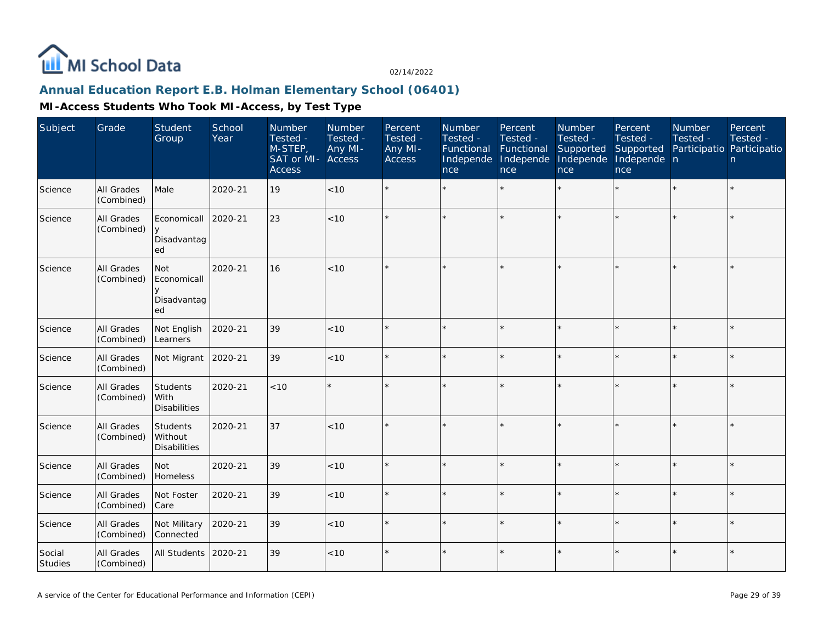

## **Annual Education Report E.B. Holman Elementary School (06401)**

| Subject           | Grade                    | Student<br>Group                                    | School<br>Year | Number<br>Tested -<br>$M-STEP$<br>SAT or MI-<br><b>Access</b> | Number<br>Tested -<br>Any MI-<br><b>Access</b> | Percent<br>Tested -<br>Any MI-<br>Access | Number<br>Tested -<br>Functional<br>Independe<br>nce | Percent<br>Tested -<br>Functional<br>Independe<br>nce | Number<br>Tested -<br>Supported<br>Independe<br>nce | Percent<br>Tested -<br>Supported<br>Independe n<br>nce | <b>Number</b><br>Tested -<br>Participatio Participatio | Percent<br>Tested -<br>n |
|-------------------|--------------------------|-----------------------------------------------------|----------------|---------------------------------------------------------------|------------------------------------------------|------------------------------------------|------------------------------------------------------|-------------------------------------------------------|-----------------------------------------------------|--------------------------------------------------------|--------------------------------------------------------|--------------------------|
| Science           | All Grades<br>(Combined) | Male                                                | 2020-21        | 19                                                            | $<10$                                          |                                          |                                                      | $\star$                                               | $\star$                                             |                                                        |                                                        | $\star$                  |
| Science           | All Grades<br>(Combined) | Economicall<br>y<br>Disadvantag<br>ed               | 2020-21        | 23                                                            | < 10                                           |                                          |                                                      | $\star$                                               |                                                     | $\star$                                                | $\star$                                                | $\star$                  |
| Science           | All Grades<br>(Combined) | <b>Not</b><br>Economicall<br>У<br>Disadvantag<br>ed | 2020-21        | 16                                                            | < 10                                           |                                          |                                                      |                                                       |                                                     |                                                        |                                                        | $\star$                  |
| Science           | All Grades<br>(Combined) | Not English<br>Learners                             | 2020-21        | 39                                                            | $<10$                                          |                                          |                                                      | $\star$                                               |                                                     |                                                        |                                                        | $\star$                  |
| Science           | All Grades<br>(Combined) | Not Migrant                                         | 2020-21        | 39                                                            | < 10                                           |                                          |                                                      | $\star$                                               |                                                     | $\star$                                                |                                                        | $\star$                  |
| Science           | All Grades<br>(Combined) | Students<br>With<br><b>Disabilities</b>             | 2020-21        | < 10                                                          | $\star$                                        |                                          |                                                      | $\star$                                               |                                                     | $\star$                                                |                                                        | $\star$                  |
| Science           | All Grades<br>(Combined) | Students<br>Without<br><b>Disabilities</b>          | 2020-21        | 37                                                            | < 10                                           |                                          |                                                      |                                                       |                                                     | $\star$                                                | $\star$                                                | $\star$                  |
| Science           | All Grades<br>(Combined) | Not<br>Homeless                                     | 2020-21        | 39                                                            | $<10$                                          |                                          |                                                      |                                                       |                                                     |                                                        |                                                        | $\star$                  |
| Science           | All Grades<br>(Combined) | Not Foster<br>Care                                  | 2020-21        | 39                                                            | < 10                                           |                                          |                                                      | $\star$                                               |                                                     | $\star$                                                |                                                        | $\star$                  |
| Science           | All Grades<br>(Combined) | Not Military<br>Connected                           | 2020-21        | 39                                                            | < 10                                           |                                          |                                                      | $\ddot{\phantom{0}}$                                  |                                                     | $\star$                                                |                                                        | k.                       |
| Social<br>Studies | All Grades<br>(Combined) | All Students                                        | 2020-21        | 39                                                            | $<10$                                          |                                          |                                                      | $\star$                                               |                                                     | $\star$                                                |                                                        | $\star$                  |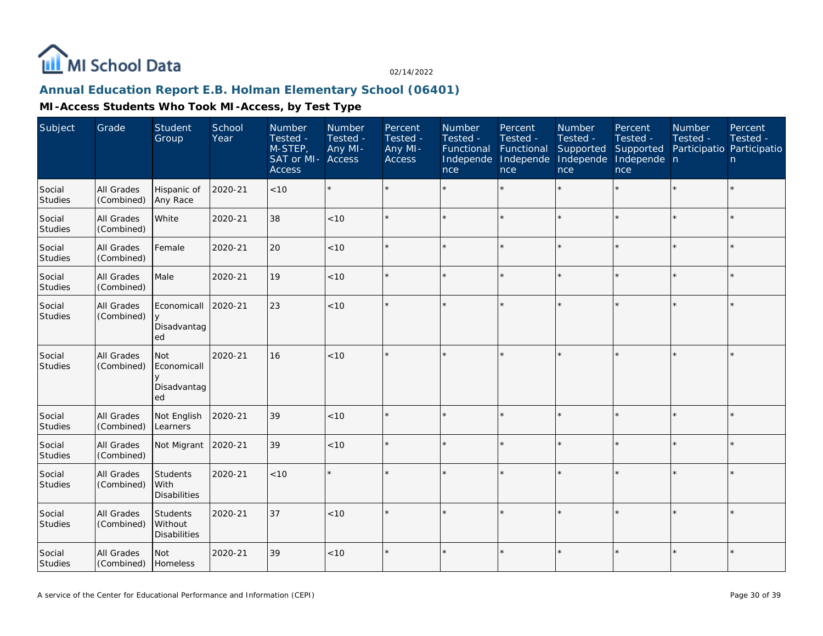

## **Annual Education Report E.B. Holman Elementary School (06401)**

| Subject                  | Grade                           | Student<br>Group                           | School<br>Year | Number<br>Tested -<br>M-STEP,<br>SAT or MI-<br><b>Access</b> | Number<br>Tested -<br>Any MI-<br><b>Access</b> | Percent<br>Tested -<br>Any MI-<br><b>Access</b> | Number<br>Tested -<br>Functional<br>Independe<br>nce | Percent<br>Tested -<br>Functional<br>Independe<br>nce | Number<br>Tested -<br>Supported<br>Independe<br>nce | Percent<br>Tested -<br>Supported<br>Independe n<br>nce | Number<br>Tested -<br>Participatio Participatio | Percent<br>Tested -<br>n |
|--------------------------|---------------------------------|--------------------------------------------|----------------|--------------------------------------------------------------|------------------------------------------------|-------------------------------------------------|------------------------------------------------------|-------------------------------------------------------|-----------------------------------------------------|--------------------------------------------------------|-------------------------------------------------|--------------------------|
| Social<br>Studies        | All Grades<br>(Combined)        | Hispanic of<br>Any Race                    | 2020-21        | <10                                                          |                                                |                                                 |                                                      | $\star$                                               | $\star$                                             | ×.                                                     | ×.                                              | $\star$                  |
| Social<br><b>Studies</b> | <b>All Grades</b><br>(Combined) | White                                      | 2020-21        | 38                                                           | < 10                                           | $\star$                                         |                                                      | $\star$                                               |                                                     | $\star$                                                | $\star$                                         | $\star$                  |
| Social<br>Studies        | <b>All Grades</b><br>(Combined) | Female                                     | 2020-21        | 20                                                           | < 10                                           |                                                 |                                                      | $\star$                                               | ×                                                   | $\star$                                                | $\star$                                         | $\star$                  |
| Social<br>Studies        | <b>All Grades</b><br>(Combined) | Male                                       | 2020-21        | 19                                                           | $<10$                                          |                                                 |                                                      | $\star$                                               |                                                     | ×                                                      | $\star$                                         | $\star$                  |
| Social<br><b>Studies</b> | <b>All Grades</b><br>(Combined) | Economicall<br>y<br>Disadvantag<br>ed      | 2020-21        | 23                                                           | < 10                                           |                                                 |                                                      | $\star$                                               |                                                     | ×                                                      | $\star$                                         | $\star$                  |
| Social<br>Studies        | All Grades<br>(Combined)        | Not<br>Economicall<br>Disadvantag<br>ed    | 2020-21        | 16                                                           | < 10                                           |                                                 |                                                      | $\star$                                               |                                                     | ×                                                      | $\star$                                         | $\star$                  |
| Social<br><b>Studies</b> | All Grades<br>(Combined)        | Not English<br>Learners                    | 2020-21        | 39                                                           | < 10                                           |                                                 |                                                      | $\star$                                               |                                                     |                                                        |                                                 | $\star$                  |
| Social<br><b>Studies</b> | <b>All Grades</b><br>(Combined) | Not Migrant                                | 2020-21        | 39                                                           | < 10                                           |                                                 |                                                      | $\star$                                               |                                                     | ×                                                      | ×.                                              | $\star$                  |
| Social<br>Studies        | All Grades<br>(Combined)        | Students<br>With<br><b>Disabilities</b>    | 2020-21        | < 10                                                         |                                                |                                                 |                                                      | $\star$                                               |                                                     | $\star$                                                |                                                 | $\star$                  |
| Social<br><b>Studies</b> | All Grades<br>(Combined)        | Students<br>Without<br><b>Disabilities</b> | 2020-21        | 37                                                           | $<10$                                          |                                                 |                                                      | $\star$                                               |                                                     |                                                        |                                                 | $\star$                  |
| Social<br>Studies        | All Grades<br>(Combined)        | Not<br>Homeless                            | 2020-21        | 39                                                           | $<10$                                          | $\star$                                         |                                                      | $\star$                                               | $\star$                                             | $\star$                                                | $\star$                                         | ¥                        |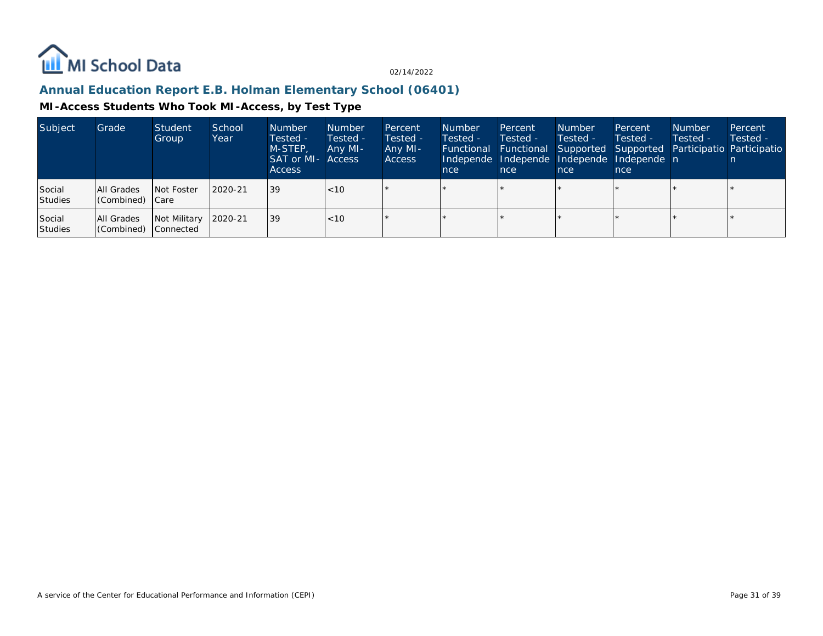

## **Annual Education Report E.B. Holman Elementary School (06401)**

| Subject           | Grade                             | Student<br>Group     | School<br>Year | <b>Number</b><br>Tested -<br>M-STEP.<br>SAT or MI- Access<br><b>Access</b> | <b>Number</b><br>Tested -<br>Any MI- | Percent<br>Tested -<br>Any MI-<br><b>Access</b> | <b>Number</b><br>Tested -<br>nce | Percent<br>Tested -<br>nce | <b>Number</b><br>Tested -<br>nce | Percent<br>Tested -<br>Independe Independe Independe Independe n<br>nce | <b>Number</b><br>Tested - | Percent<br>Tested -<br><b>Functional Functional Supported Supported Participatio Participatio</b> |
|-------------------|-----------------------------------|----------------------|----------------|----------------------------------------------------------------------------|--------------------------------------|-------------------------------------------------|----------------------------------|----------------------------|----------------------------------|-------------------------------------------------------------------------|---------------------------|---------------------------------------------------------------------------------------------------|
| Social<br>Studies | All Grades<br>Combined) Care      | Not Foster           | 2020-21        | 39                                                                         | $ $ < 10                             |                                                 |                                  |                            |                                  |                                                                         |                           |                                                                                                   |
| Social<br>Studies | All Grades<br>Combined) Connected | Not Military 2020-21 |                | 39                                                                         | $ $ < 10                             |                                                 |                                  |                            |                                  |                                                                         |                           |                                                                                                   |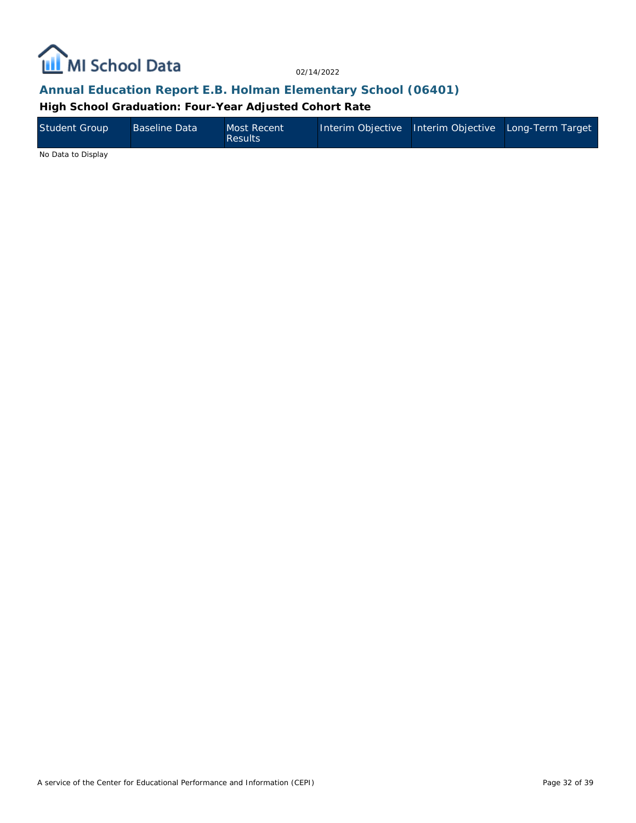

## **Annual Education Report E.B. Holman Elementary School (06401)**

**High School Graduation: Four-Year Adjusted Cohort Rate**

| Student Group     | <b>Baseline Data</b> | Most Recent<br><b>Results</b> | Interim Objective Interim Objective Long-Term Target |  |
|-------------------|----------------------|-------------------------------|------------------------------------------------------|--|
| $\cdots$ $\cdots$ |                      |                               |                                                      |  |

No Data to Display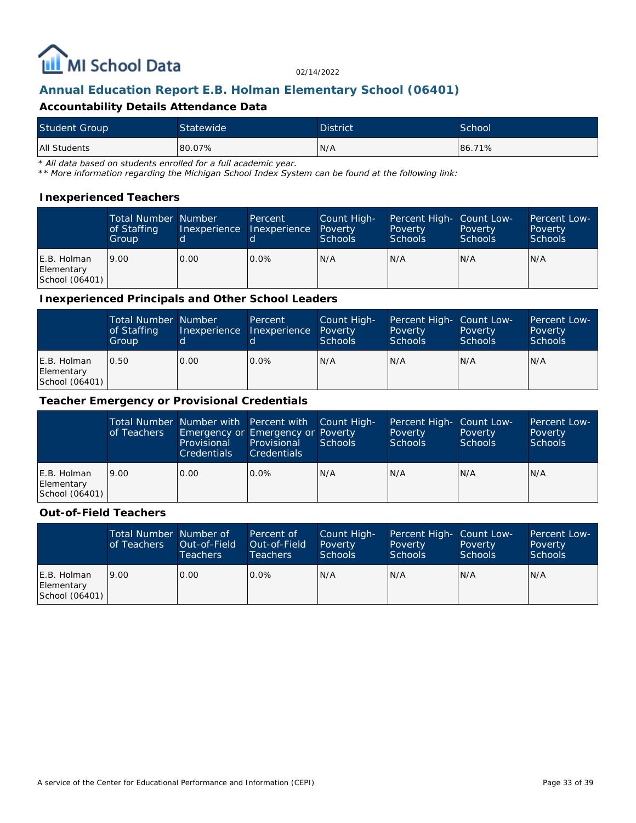

# **Annual Education Report E.B. Holman Elementary School (06401)**

#### **Accountability Details Attendance Data**

| <b>Student Group</b> | Statewide | <b>District</b> | School |
|----------------------|-----------|-----------------|--------|
| All Students         | 80.07%    | N/A             | 86.71% |

*\* All data based on students enrolled for a full academic year.*

*\*\* More information regarding the Michigan School Index System can be found at the following link:*

#### **Inexperienced Teachers**

|                                             | <b>Total Number Number</b><br>of Staffing<br>Group | Inexperience | Percent<br>Inexperience Poverty | Count High-<br><b>Schools</b> | Percent High- Count Low-<br>Poverty<br><b>Schools</b> | Poverty<br><b>Schools</b> | <b>Percent Low-</b><br>Poverty<br>Schools |
|---------------------------------------------|----------------------------------------------------|--------------|---------------------------------|-------------------------------|-------------------------------------------------------|---------------------------|-------------------------------------------|
| E.B. Holman<br>Elementary<br>School (06401) | 9.00                                               | 0.00         | $0.0\%$                         | N/A                           | N/A                                                   | N/A                       | N/A                                       |

#### **Inexperienced Principals and Other School Leaders**

|                                             | <b>Total Number Number</b><br>of Staffing<br>Group |      | Percent<br>Inexperience Inexperience | Count High-<br>Poverty<br><b>Schools</b> | Percent High- Count Low-<br>Poverty<br><b>Schools</b> | Poverty<br><b>Schools</b> | Percent Low-<br>Poverty<br><b>Schools</b> |
|---------------------------------------------|----------------------------------------------------|------|--------------------------------------|------------------------------------------|-------------------------------------------------------|---------------------------|-------------------------------------------|
| E.B. Holman<br>Elementary<br>School (06401) | 0.50                                               | 0.00 | $0.0\%$                              | N/A                                      | N/A                                                   | N/A                       | N/A                                       |

#### **Teacher Emergency or Provisional Credentials**

|                                             | of Teachers | Total Number Number with Percent with Count High-<br>Emergency or Emergency or Poverty<br><b>Provisional</b><br><b>Credentials</b> | Provisional<br><b>Credentials</b> | Schools | Percent High- Count Low-<br>Poverty<br><b>Schools</b> | Poverty<br><b>Schools</b> | <b>Percent Low-</b><br>Poverty<br>Schools |
|---------------------------------------------|-------------|------------------------------------------------------------------------------------------------------------------------------------|-----------------------------------|---------|-------------------------------------------------------|---------------------------|-------------------------------------------|
| E.B. Holman<br>Elementary<br>School (06401) | 9.00        | 0.00                                                                                                                               | $0.0\%$                           | IN/A    | N/A                                                   | N/A                       | N/A                                       |

#### **Out-of-Field Teachers**

|                                             | Total Number Number of<br>of Teachers | Out-of-Field<br><b>Teachers</b> | Percent of<br>Out-of-Field<br>Teachers | Count High-<br>Poverty<br>Schools | Percent High- Count Low-<br>Poverty<br><b>Schools</b> | Poverty<br><b>Schools</b> | Percent Low-<br>Poverty<br>Schools |
|---------------------------------------------|---------------------------------------|---------------------------------|----------------------------------------|-----------------------------------|-------------------------------------------------------|---------------------------|------------------------------------|
| E.B. Holman<br>Elementary<br>School (06401) | 9.00                                  | 0.00                            | $0.0\%$                                | N/A                               | N/A                                                   | IN/A                      | IN/A                               |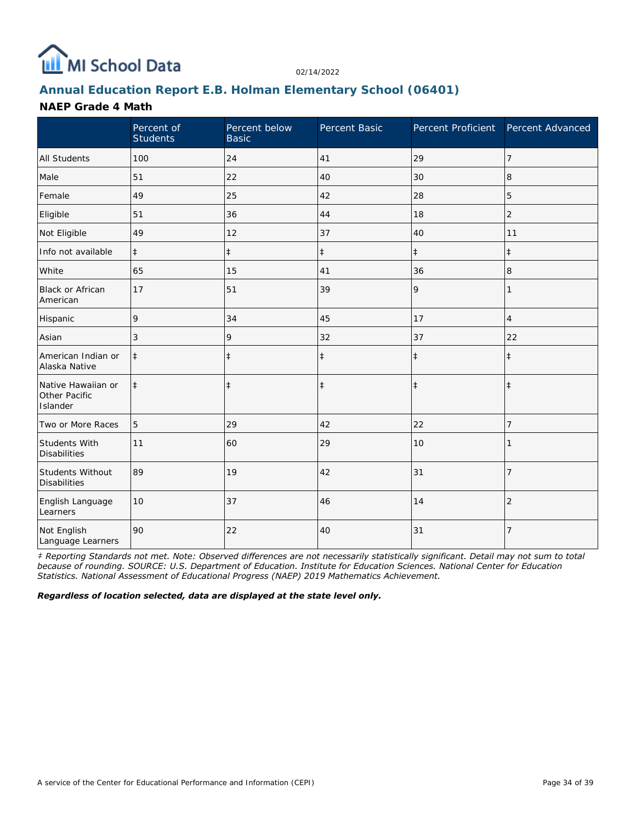

# **Annual Education Report E.B. Holman Elementary School (06401)**

#### **NAEP Grade 4 Math**

|                                                 | Percent of<br><b>Students</b> | Percent below<br><b>Basic</b> | Percent Basic | Percent Proficient | Percent Advanced |
|-------------------------------------------------|-------------------------------|-------------------------------|---------------|--------------------|------------------|
| <b>All Students</b>                             | 100                           | 24                            | 41            | 29                 | 7                |
| Male                                            | 51                            | 22                            | 40            | 30                 | 8                |
| Female                                          | 49                            | 25                            | 42            | 28                 | 5                |
| Eligible                                        | 51                            | 36                            | 44            | 18                 | $\overline{2}$   |
| Not Eligible                                    | 49                            | 12                            | 37            | 40                 | 11               |
| Info not available                              | $\ddagger$                    | $\ddagger$                    | $\ddagger$    | $\ddagger$         | $\ddagger$       |
| White                                           | 65                            | 15                            | 41            | 36                 | 8                |
| Black or African<br>American                    | 17                            | 51                            | 39            | 9                  | 1                |
| Hispanic                                        | 9                             | 34                            | 45            | 17                 | $\overline{4}$   |
| Asian                                           | 3                             | 9                             | 32            | 37                 | 22               |
| American Indian or<br>Alaska Native             | $\ddagger$                    | $\ddagger$                    | $\ddagger$    | $\ddagger$         | $\ddagger$       |
| Native Hawaiian or<br>Other Pacific<br>Islander | $\ddagger$                    | $\ddagger$                    | $\ddagger$    | $\ddagger$         | $\ddagger$       |
| Two or More Races                               | 5                             | 29                            | 42            | 22                 | 7                |
| Students With<br><b>Disabilities</b>            | 11                            | 60                            | 29            | 10                 |                  |
| <b>Students Without</b><br><b>Disabilities</b>  | 89                            | 19                            | 42            | 31                 | $\overline{7}$   |
| English Language<br>Learners                    | 10                            | 37                            | 46            | 14                 | $\overline{2}$   |
| Not English<br>Language Learners                | 90                            | 22                            | 40            | 31                 | 7                |

*‡ Reporting Standards not met. Note: Observed differences are not necessarily statistically significant. Detail may not sum to total because of rounding. SOURCE: U.S. Department of Education. Institute for Education Sciences. National Center for Education Statistics. National Assessment of Educational Progress (NAEP) 2019 Mathematics Achievement.*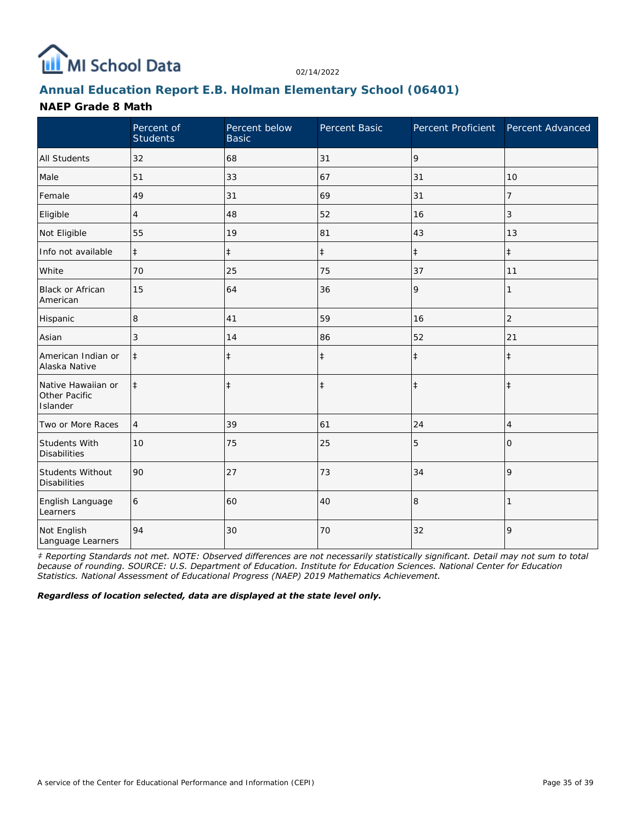

# **Annual Education Report E.B. Holman Elementary School (06401)**

### **NAEP Grade 8 Math**

|                                                 | Percent of<br><b>Students</b> | Percent below<br><b>Basic</b> | Percent Basic | Percent Proficient | Percent Advanced |
|-------------------------------------------------|-------------------------------|-------------------------------|---------------|--------------------|------------------|
| <b>All Students</b>                             | 32                            | 68                            | 31            | 9                  |                  |
| Male                                            | 51                            | 33                            | 67            | 31                 | 10               |
| Female                                          | 49                            | 31                            | 69            | 31                 | 7                |
| Eligible                                        | $\overline{4}$                | 48                            | 52            | 16                 | 3                |
| Not Eligible                                    | 55                            | 19                            | 81            | 43                 | 13               |
| Info not available                              | $\ddagger$                    | $\ddagger$                    | $\ddagger$    | $\ddagger$         | $\ddagger$       |
| White                                           | 70                            | 25                            | 75            | 37                 | 11               |
| Black or African<br>American                    | 15                            | 64                            | 36            | 9                  | 1                |
| Hispanic                                        | 8                             | 41                            | 59            | 16                 | $\overline{2}$   |
| Asian                                           | 3                             | 14                            | 86            | 52                 | 21               |
| American Indian or<br>Alaska Native             | $\ddagger$                    | $\ddagger$                    | $\ddagger$    | $\ddagger$         | $\ddagger$       |
| Native Hawaiian or<br>Other Pacific<br>Islander | $\ddagger$                    | $\ddagger$                    | $\ddagger$    | $\ddagger$         | $\ddagger$       |
| Two or More Races                               | $\overline{4}$                | 39                            | 61            | 24                 | $\overline{4}$   |
| Students With<br><b>Disabilities</b>            | 10                            | 75                            | 25            | 5                  | $\Omega$         |
| <b>Students Without</b><br><b>Disabilities</b>  | 90                            | 27                            | 73            | 34                 | 9                |
| English Language<br>Learners                    | 6                             | 60                            | 40            | 8                  |                  |
| Not English<br>Language Learners                | 94                            | 30                            | 70            | 32                 | 9                |

*‡ Reporting Standards not met. NOTE: Observed differences are not necessarily statistically significant. Detail may not sum to total because of rounding. SOURCE: U.S. Department of Education. Institute for Education Sciences. National Center for Education Statistics. National Assessment of Educational Progress (NAEP) 2019 Mathematics Achievement.*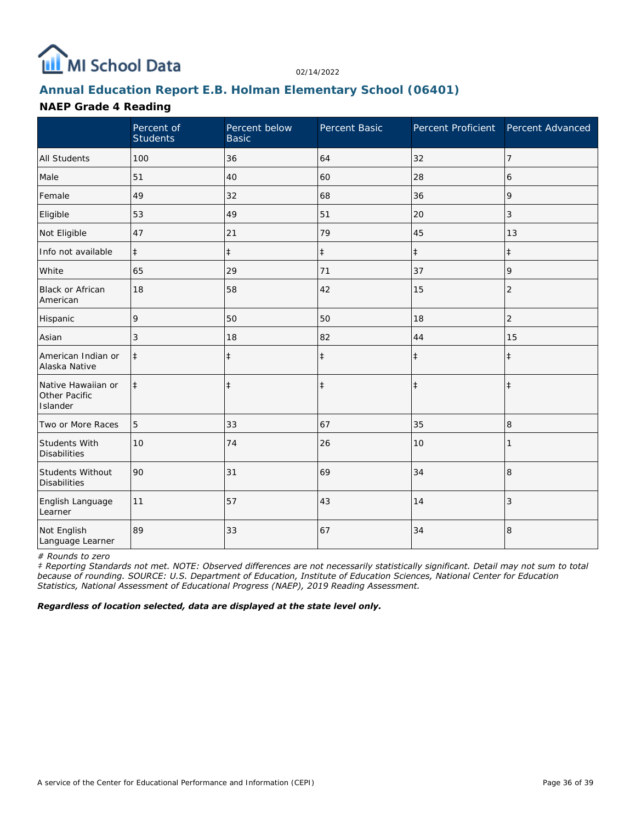

# **Annual Education Report E.B. Holman Elementary School (06401)**

### **NAEP Grade 4 Reading**

|                                                 | Percent of<br><b>Students</b> | Percent below<br><b>Basic</b> | Percent Basic | Percent Proficient | Percent Advanced |
|-------------------------------------------------|-------------------------------|-------------------------------|---------------|--------------------|------------------|
| <b>All Students</b>                             | 100                           | 36                            | 64            | 32                 | 7                |
| Male                                            | 51                            | 40                            | 60            | 28                 | 6                |
| Female                                          | 49                            | 32                            | 68            | 36                 | 9                |
| Eligible                                        | 53                            | 49                            | 51            | 20                 | 3                |
| Not Eligible                                    | 47                            | 21                            | 79            | 45                 | 13               |
| Info not available                              | $\ddagger$                    | $\ddagger$                    | $\ddagger$    | $\ddagger$         | $\ddagger$       |
| White                                           | 65                            | 29                            | 71            | 37                 | 9                |
| Black or African<br>American                    | 18                            | 58                            | 42            | 15                 | $\overline{2}$   |
| Hispanic                                        | 9                             | 50                            | 50            | 18                 | $\overline{c}$   |
| Asian                                           | 3                             | 18                            | 82            | 44                 | 15               |
| American Indian or<br>Alaska Native             | $\ddagger$                    | $\ddagger$                    | $\ddagger$    | $\ddagger$         | $\ddagger$       |
| Native Hawaiian or<br>Other Pacific<br>Islander | $\ddagger$                    | $\ddagger$                    | $\ddagger$    | $\ddagger$         | $\ddagger$       |
| Two or More Races                               | 5                             | 33                            | 67            | 35                 | 8                |
| Students With<br><b>Disabilities</b>            | 10                            | 74                            | 26            | 10                 |                  |
| Students Without<br><b>Disabilities</b>         | 90                            | 31                            | 69            | 34                 | $\,8\,$          |
| English Language<br>Learner                     | 11                            | 57                            | 43            | 14                 | 3                |
| Not English<br>Language Learner                 | 89                            | 33                            | 67            | 34                 | 8                |

*# Rounds to zero*

*‡ Reporting Standards not met. NOTE: Observed differences are not necessarily statistically significant. Detail may not sum to total because of rounding. SOURCE: U.S. Department of Education, Institute of Education Sciences, National Center for Education Statistics, National Assessment of Educational Progress (NAEP), 2019 Reading Assessment.*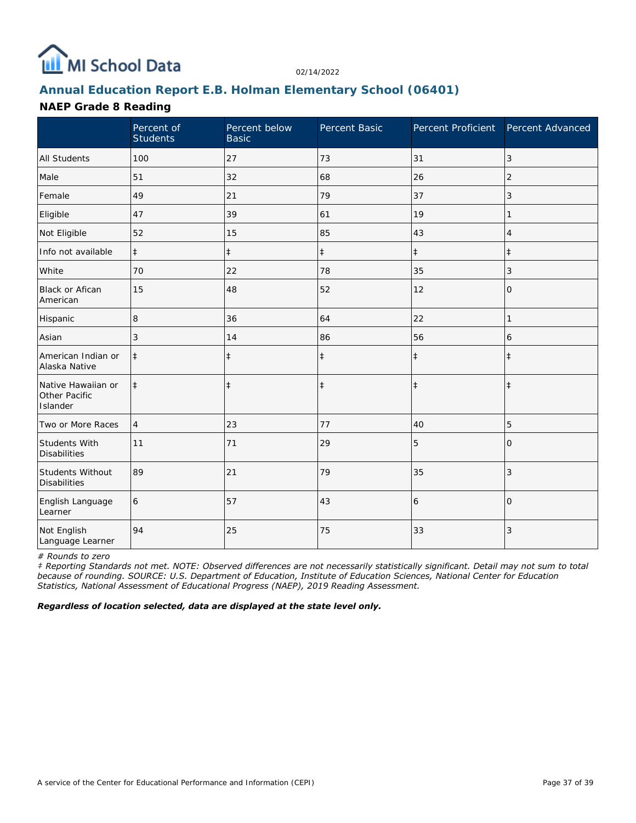

# **Annual Education Report E.B. Holman Elementary School (06401)**

### **NAEP Grade 8 Reading**

|                                                 | Percent of<br><b>Students</b> | Percent below<br><b>Basic</b> | Percent Basic | Percent Proficient Percent Advanced |                |
|-------------------------------------------------|-------------------------------|-------------------------------|---------------|-------------------------------------|----------------|
| <b>All Students</b>                             | 100                           | 27                            | 73            | 31                                  | 3              |
| Male                                            | 51                            | 32                            | 68            | 26                                  | $\overline{2}$ |
| Female                                          | 49                            | 21                            | 79            | 37                                  | 3              |
| Eligible                                        | 47                            | 39                            | 61            | 19                                  |                |
| Not Eligible                                    | 52                            | 15                            | 85            | 43                                  | 4              |
| Info not available                              | $\ddagger$                    | $\ddagger$                    | $\ddagger$    | $\ddagger$                          | $\pm$          |
| White                                           | 70                            | 22                            | 78            | 35                                  | 3              |
| <b>Black or Afican</b><br>American              | 15                            | 48                            | 52            | 12                                  | 0              |
| Hispanic                                        | 8                             | 36                            | 64            | 22                                  | 1              |
| Asian                                           | 3                             | 14                            | 86            | 56                                  | 6              |
| American Indian or<br>Alaska Native             | $\ddagger$                    | $\ddagger$                    | $\ddagger$    | $\ddagger$                          | $\ddagger$     |
| Native Hawaiian or<br>Other Pacific<br>Islander | $\ddagger$                    | $\ddagger$                    | $\ddagger$    | $\ddagger$                          | $\ddagger$     |
| Two or More Races                               | 4                             | 23                            | 77            | 40                                  | 5              |
| <b>Students With</b><br><b>Disabilities</b>     | 11                            | 71                            | 29            | 5                                   | $\Omega$       |
| Students Without<br><b>Disabilities</b>         | 89                            | 21                            | 79            | 35                                  | 3              |
| English Language<br>Learner                     | 6                             | 57                            | 43            | 6                                   | $\Omega$       |
| Not English<br>Language Learner                 | 94                            | 25                            | 75            | 33                                  | 3              |

*# Rounds to zero*

*‡ Reporting Standards not met. NOTE: Observed differences are not necessarily statistically significant. Detail may not sum to total because of rounding. SOURCE: U.S. Department of Education, Institute of Education Sciences, National Center for Education Statistics, National Assessment of Educational Progress (NAEP), 2019 Reading Assessment.*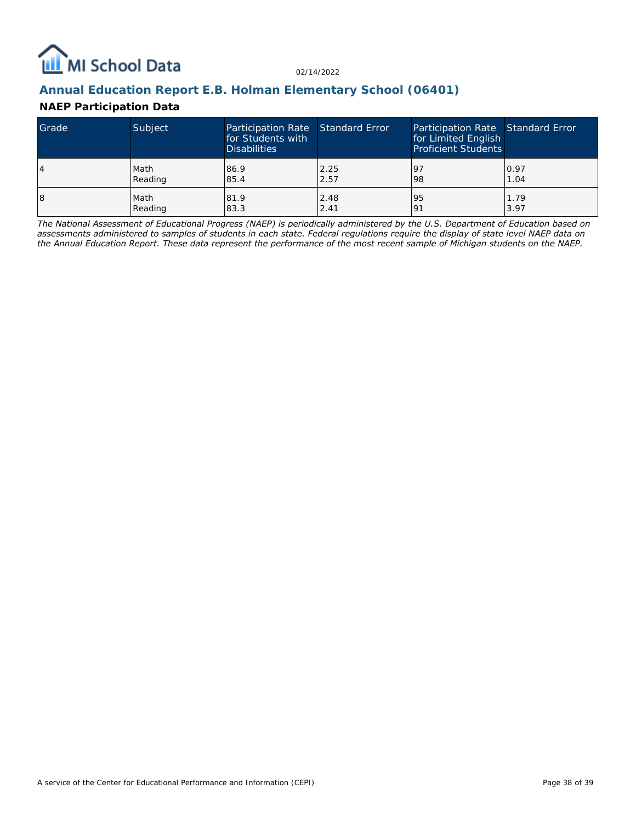

## **Annual Education Report E.B. Holman Elementary School (06401)**

### **NAEP Participation Data**

| Grade | Subject | Participation Rate Standard Error<br>for Students with<br><b>Disabilities</b> |      | Participation Rate Standard Error<br>for Limited English<br><b>Proficient Students</b> |      |
|-------|---------|-------------------------------------------------------------------------------|------|----------------------------------------------------------------------------------------|------|
| 14    | Math    | 86.9                                                                          | 2.25 | 197                                                                                    | 0.97 |
|       | Reading | 85.4                                                                          | 2.57 | 98                                                                                     | 1.04 |
| 18    | Math    | 81.9                                                                          | 2.48 | 95                                                                                     | 1.79 |
|       | Reading | 83.3                                                                          | 2.41 | <u>o</u>                                                                               | 3.97 |

*The National Assessment of Educational Progress (NAEP) is periodically administered by the U.S. Department of Education based on assessments administered to samples of students in each state. Federal regulations require the display of state level NAEP data on the Annual Education Report. These data represent the performance of the most recent sample of Michigan students on the NAEP.*